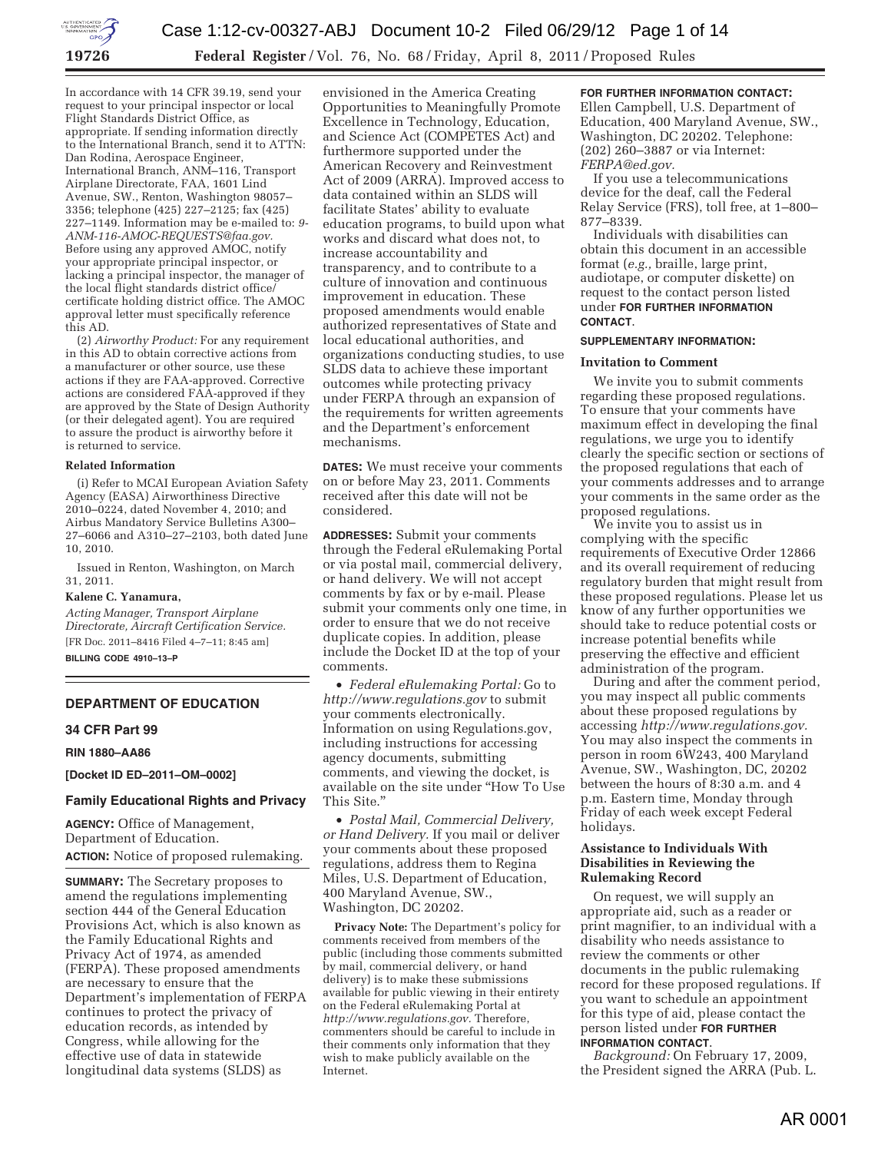

In accordance with 14 CFR 39.19, send your request to your principal inspector or local Flight Standards District Office, as appropriate. If sending information directly to the International Branch, send it to ATTN: Dan Rodina, Aerospace Engineer, International Branch, ANM–116, Transport Airplane Directorate, FAA, 1601 Lind Avenue, SW., Renton, Washington 98057– 3356; telephone (425) 227–2125; fax (425) 227–1149. Information may be e-mailed to: *9- ANM-116-AMOC-REQUESTS@faa.gov.*  Before using any approved AMOC, notify your appropriate principal inspector, or lacking a principal inspector, the manager of the local flight standards district office/ certificate holding district office. The AMOC approval letter must specifically reference this AD.

(2) *Airworthy Product:* For any requirement in this AD to obtain corrective actions from a manufacturer or other source, use these actions if they are FAA-approved. Corrective actions are considered FAA-approved if they are approved by the State of Design Authority (or their delegated agent). You are required to assure the product is airworthy before it is returned to service.

#### **Related Information**

(i) Refer to MCAI European Aviation Safety Agency (EASA) Airworthiness Directive 2010–0224, dated November 4, 2010; and Airbus Mandatory Service Bulletins A300– 27–6066 and A310–27–2103, both dated June 10, 2010.

Issued in Renton, Washington, on March 31, 2011.

#### **Kalene C. Yanamura,**

*Acting Manager, Transport Airplane Directorate, Aircraft Certification Service.*  [FR Doc. 2011–8416 Filed 4–7–11; 8:45 am]

**BILLING CODE 4910–13–P** 

# **DEPARTMENT OF EDUCATION**

## **34 CFR Part 99**

**RIN 1880–AA86** 

**[Docket ID ED–2011–OM–0002]** 

# **Family Educational Rights and Privacy**

**AGENCY:** Office of Management, Department of Education. **ACTION:** Notice of proposed rulemaking.

**SUMMARY:** The Secretary proposes to amend the regulations implementing section 444 of the General Education Provisions Act, which is also known as the Family Educational Rights and Privacy Act of 1974, as amended (FERPA). These proposed amendments are necessary to ensure that the Department's implementation of FERPA continues to protect the privacy of education records, as intended by Congress, while allowing for the effective use of data in statewide longitudinal data systems (SLDS) as

envisioned in the America Creating Opportunities to Meaningfully Promote Excellence in Technology, Education, and Science Act (COMPETES Act) and furthermore supported under the American Recovery and Reinvestment Act of 2009 (ARRA). Improved access to data contained within an SLDS will facilitate States' ability to evaluate education programs, to build upon what works and discard what does not, to increase accountability and transparency, and to contribute to a culture of innovation and continuous improvement in education. These proposed amendments would enable authorized representatives of State and local educational authorities, and organizations conducting studies, to use SLDS data to achieve these important outcomes while protecting privacy under FERPA through an expansion of the requirements for written agreements and the Department's enforcement mechanisms.

**DATES:** We must receive your comments on or before May 23, 2011. Comments received after this date will not be considered.

**ADDRESSES:** Submit your comments through the Federal eRulemaking Portal or via postal mail, commercial delivery, or hand delivery. We will not accept comments by fax or by e-mail. Please submit your comments only one time, in order to ensure that we do not receive duplicate copies. In addition, please include the Docket ID at the top of your comments.

• *Federal eRulemaking Portal:* Go to *http://www.regulations.gov* to submit your comments electronically. Information on using Regulations.gov, including instructions for accessing agency documents, submitting comments, and viewing the docket, is available on the site under ''How To Use This Site.''

• *Postal Mail, Commercial Delivery, or Hand Delivery.* If you mail or deliver your comments about these proposed regulations, address them to Regina Miles, U.S. Department of Education, 400 Maryland Avenue, SW., Washington, DC 20202.

**Privacy Note:** The Department's policy for comments received from members of the public (including those comments submitted by mail, commercial delivery, or hand delivery) is to make these submissions available for public viewing in their entirety on the Federal eRulemaking Portal at *http://www.regulations.gov.* Therefore, commenters should be careful to include in their comments only information that they wish to make publicly available on the Internet.

# **FOR FURTHER INFORMATION CONTACT:**

Ellen Campbell, U.S. Department of Education, 400 Maryland Avenue, SW., Washington, DC 20202. Telephone: (202) 260–3887 or via Internet: *FERPA@ed.gov.* 

If you use a telecommunications device for the deaf, call the Federal Relay Service (FRS), toll free, at 1–800– 877–8339.

Individuals with disabilities can obtain this document in an accessible format (*e.g.,* braille, large print, audiotape, or computer diskette) on request to the contact person listed under **FOR FURTHER INFORMATION CONTACT**.

#### **SUPPLEMENTARY INFORMATION:**

#### **Invitation to Comment**

We invite you to submit comments regarding these proposed regulations. To ensure that your comments have maximum effect in developing the final regulations, we urge you to identify clearly the specific section or sections of the proposed regulations that each of your comments addresses and to arrange your comments in the same order as the proposed regulations.

We invite you to assist us in complying with the specific requirements of Executive Order 12866 and its overall requirement of reducing regulatory burden that might result from these proposed regulations. Please let us know of any further opportunities we should take to reduce potential costs or increase potential benefits while preserving the effective and efficient administration of the program.

During and after the comment period, you may inspect all public comments about these proposed regulations by accessing *http://www.regulations.gov.*  You may also inspect the comments in person in room 6W243, 400 Maryland Avenue, SW., Washington, DC, 20202 between the hours of 8:30 a.m. and 4 p.m. Eastern time, Monday through Friday of each week except Federal holidays.

# **Assistance to Individuals With Disabilities in Reviewing the Rulemaking Record**

On request, we will supply an appropriate aid, such as a reader or print magnifier, to an individual with a disability who needs assistance to review the comments or other documents in the public rulemaking record for these proposed regulations. If you want to schedule an appointment for this type of aid, please contact the person listed under **FOR FURTHER INFORMATION CONTACT**.

*Background:* On February 17, 2009, the President signed the ARRA (Pub. L.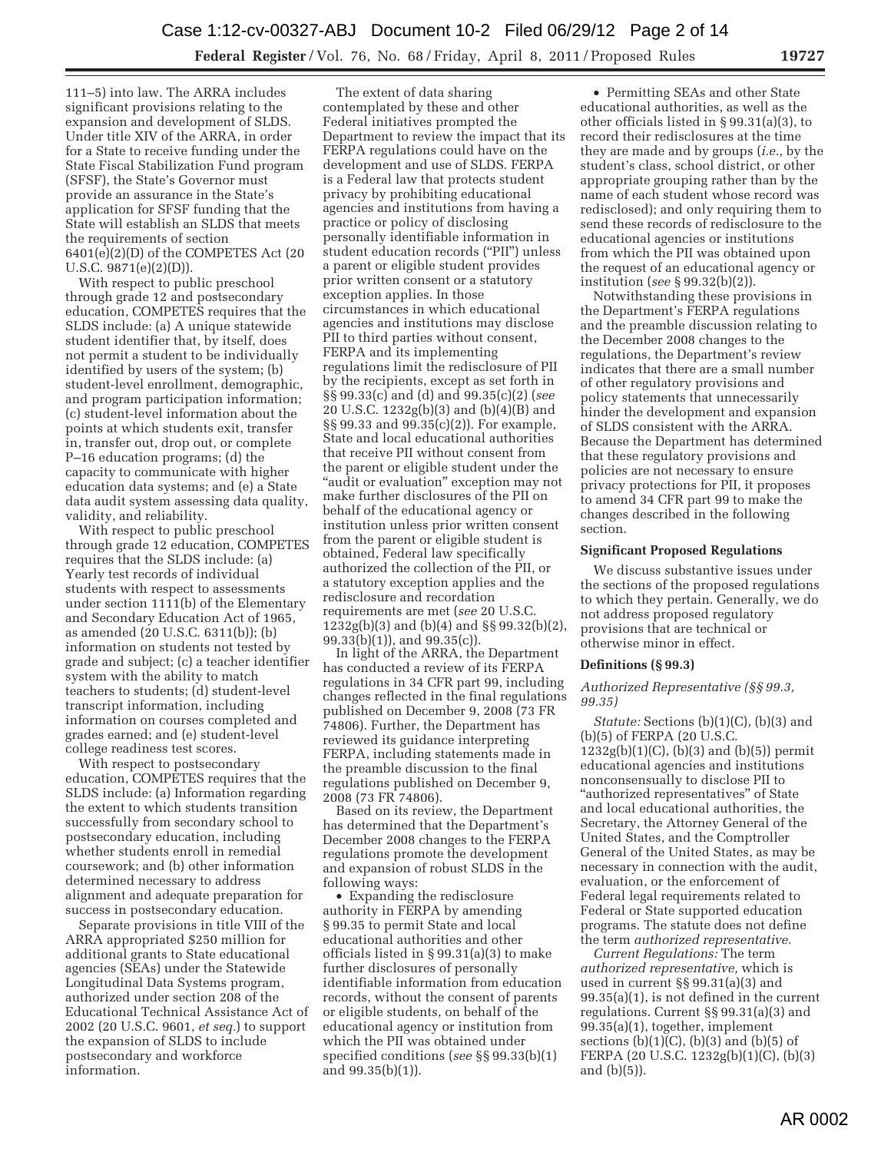111–5) into law. The ARRA includes significant provisions relating to the expansion and development of SLDS. Under title XIV of the ARRA, in order for a State to receive funding under the State Fiscal Stabilization Fund program (SFSF), the State's Governor must provide an assurance in the State's application for SFSF funding that the State will establish an SLDS that meets the requirements of section 6401(e)(2)(D) of the COMPETES Act (20 U.S.C. 9871(e)(2)(D)).

With respect to public preschool through grade 12 and postsecondary education, COMPETES requires that the SLDS include: (a) A unique statewide student identifier that, by itself, does not permit a student to be individually identified by users of the system; (b) student-level enrollment, demographic, and program participation information; (c) student-level information about the points at which students exit, transfer in, transfer out, drop out, or complete P–16 education programs; (d) the capacity to communicate with higher education data systems; and (e) a State data audit system assessing data quality, validity, and reliability.

With respect to public preschool through grade 12 education, COMPETES requires that the SLDS include: (a) Yearly test records of individual students with respect to assessments under section 1111(b) of the Elementary and Secondary Education Act of 1965, as amended (20 U.S.C. 6311(b)); (b) information on students not tested by grade and subject; (c) a teacher identifier system with the ability to match teachers to students; (d) student-level transcript information, including information on courses completed and grades earned; and (e) student-level college readiness test scores.

With respect to postsecondary education, COMPETES requires that the SLDS include: (a) Information regarding the extent to which students transition successfully from secondary school to postsecondary education, including whether students enroll in remedial coursework; and (b) other information determined necessary to address alignment and adequate preparation for success in postsecondary education.

Separate provisions in title VIII of the ARRA appropriated \$250 million for additional grants to State educational agencies (SEAs) under the Statewide Longitudinal Data Systems program, authorized under section 208 of the Educational Technical Assistance Act of 2002 (20 U.S.C. 9601, *et seq.*) to support the expansion of SLDS to include postsecondary and workforce information.

The extent of data sharing contemplated by these and other Federal initiatives prompted the Department to review the impact that its FERPA regulations could have on the development and use of SLDS. FERPA is a Federal law that protects student privacy by prohibiting educational agencies and institutions from having a practice or policy of disclosing personally identifiable information in student education records (''PII'') unless a parent or eligible student provides prior written consent or a statutory exception applies. In those circumstances in which educational agencies and institutions may disclose PII to third parties without consent, FERPA and its implementing regulations limit the redisclosure of PII by the recipients, except as set forth in §§ 99.33(c) and (d) and 99.35(c)(2) (*see*  20 U.S.C. 1232g(b)(3) and (b)(4)(B) and §§ 99.33 and 99.35(c)(2)). For example, State and local educational authorities that receive PII without consent from the parent or eligible student under the ''audit or evaluation'' exception may not make further disclosures of the PII on behalf of the educational agency or institution unless prior written consent from the parent or eligible student is obtained, Federal law specifically authorized the collection of the PII, or a statutory exception applies and the redisclosure and recordation requirements are met (*see* 20 U.S.C. 1232g(b)(3) and (b)(4) and §§ 99.32(b)(2), 99.33(b)(1)), and 99.35(c)).

In light of the ARRA, the Department has conducted a review of its FERPA regulations in 34 CFR part 99, including changes reflected in the final regulations published on December 9, 2008 (73 FR 74806). Further, the Department has reviewed its guidance interpreting FERPA, including statements made in the preamble discussion to the final regulations published on December 9, 2008 (73 FR 74806).

Based on its review, the Department has determined that the Department's December 2008 changes to the FERPA regulations promote the development and expansion of robust SLDS in the following ways:

• Expanding the redisclosure authority in FERPA by amending § 99.35 to permit State and local educational authorities and other officials listed in § 99.31(a)(3) to make further disclosures of personally identifiable information from education records, without the consent of parents or eligible students, on behalf of the educational agency or institution from which the PII was obtained under specified conditions (*see* §§ 99.33(b)(1) and 99.35(b)(1)).

• Permitting SEAs and other State educational authorities, as well as the other officials listed in § 99.31(a)(3), to record their redisclosures at the time they are made and by groups (*i.e.,* by the student's class, school district, or other appropriate grouping rather than by the name of each student whose record was redisclosed); and only requiring them to send these records of redisclosure to the educational agencies or institutions from which the PII was obtained upon the request of an educational agency or institution (*see* § 99.32(b)(2)).

Notwithstanding these provisions in the Department's FERPA regulations and the preamble discussion relating to the December 2008 changes to the regulations, the Department's review indicates that there are a small number of other regulatory provisions and policy statements that unnecessarily hinder the development and expansion of SLDS consistent with the ARRA. Because the Department has determined that these regulatory provisions and policies are not necessary to ensure privacy protections for PII, it proposes to amend 34 CFR part 99 to make the changes described in the following section.

#### **Significant Proposed Regulations**

We discuss substantive issues under the sections of the proposed regulations to which they pertain. Generally, we do not address proposed regulatory provisions that are technical or otherwise minor in effect.

# **Definitions (§ 99.3)**

## *Authorized Representative (§§ 99.3, 99.35)*

*Statute:* Sections (b)(1)(C), (b)(3) and (b)(5) of FERPA (20 U.S.C.  $1232g(b)(1)(C)$ ,  $(b)(3)$  and  $(b)(5)$ ) permit educational agencies and institutions nonconsensually to disclose PII to "authorized representatives" of State and local educational authorities, the Secretary, the Attorney General of the United States, and the Comptroller General of the United States, as may be necessary in connection with the audit, evaluation, or the enforcement of Federal legal requirements related to Federal or State supported education programs. The statute does not define the term *authorized representative.* 

*Current Regulations:* The term *authorized representative,* which is used in current §§ 99.31(a)(3) and 99.35(a)(1), is not defined in the current regulations. Current §§ 99.31(a)(3) and 99.35(a)(1), together, implement sections  $(b)(1)(C)$ ,  $(b)(3)$  and  $(b)(5)$  of FERPA (20 U.S.C. 1232g(b)(1)(C), (b)(3) and (b)(5)).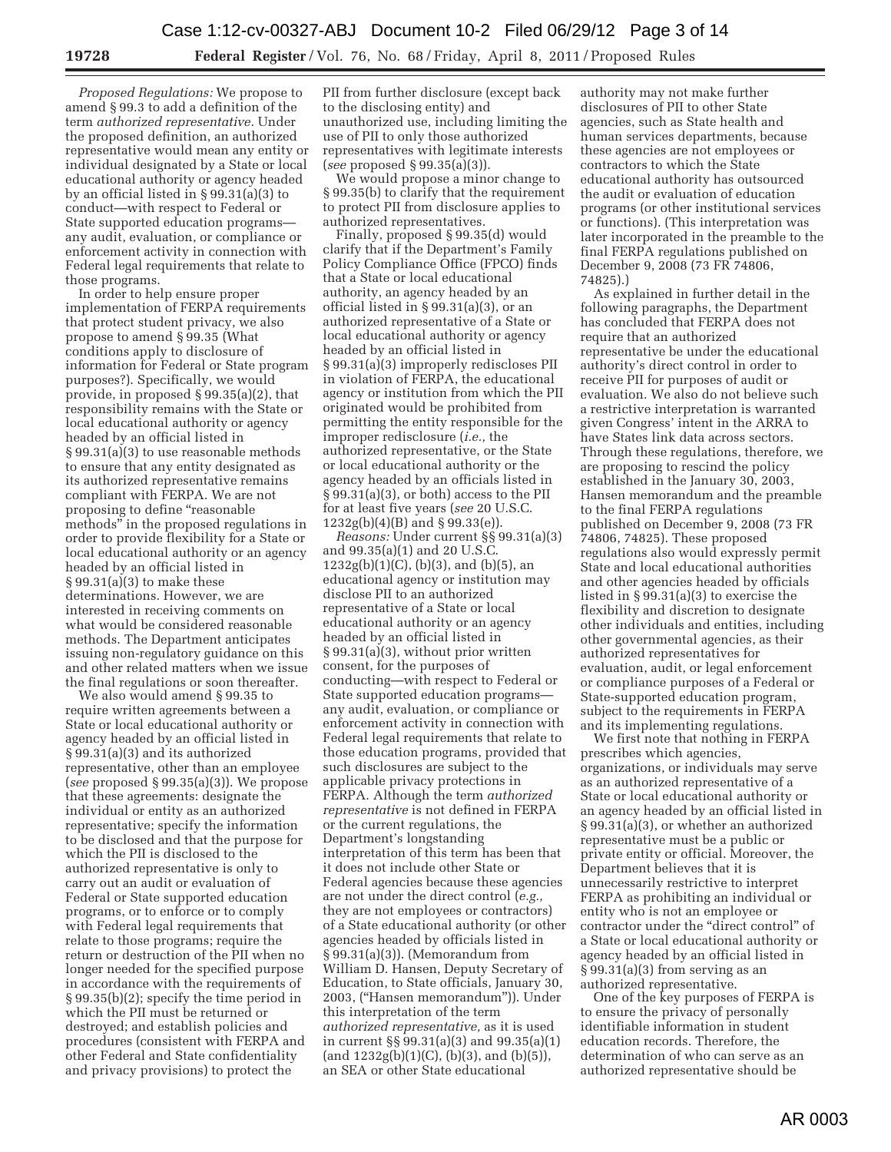*Proposed Regulations:* We propose to amend § 99.3 to add a definition of the term *authorized representative.* Under the proposed definition, an authorized representative would mean any entity or individual designated by a State or local educational authority or agency headed by an official listed in § 99.31(a)(3) to conduct—with respect to Federal or State supported education programs any audit, evaluation, or compliance or enforcement activity in connection with Federal legal requirements that relate to those programs.

In order to help ensure proper implementation of FERPA requirements that protect student privacy, we also propose to amend § 99.35 (What conditions apply to disclosure of information for Federal or State program purposes?). Specifically, we would provide, in proposed § 99.35(a)(2), that responsibility remains with the State or local educational authority or agency headed by an official listed in § 99.31(a)(3) to use reasonable methods to ensure that any entity designated as its authorized representative remains compliant with FERPA. We are not proposing to define "reasonable methods'' in the proposed regulations in order to provide flexibility for a State or local educational authority or an agency headed by an official listed in § 99.31(a)(3) to make these determinations. However, we are interested in receiving comments on what would be considered reasonable methods. The Department anticipates issuing non-regulatory guidance on this and other related matters when we issue the final regulations or soon thereafter.

We also would amend § 99.35 to require written agreements between a State or local educational authority or agency headed by an official listed in § 99.31(a)(3) and its authorized representative, other than an employee (*see* proposed § 99.35(a)(3)). We propose that these agreements: designate the individual or entity as an authorized representative; specify the information to be disclosed and that the purpose for which the PII is disclosed to the authorized representative is only to carry out an audit or evaluation of Federal or State supported education programs, or to enforce or to comply with Federal legal requirements that relate to those programs; require the return or destruction of the PII when no longer needed for the specified purpose in accordance with the requirements of § 99.35(b)(2); specify the time period in which the PII must be returned or destroyed; and establish policies and procedures (consistent with FERPA and other Federal and State confidentiality and privacy provisions) to protect the

PII from further disclosure (except back to the disclosing entity) and unauthorized use, including limiting the use of PII to only those authorized representatives with legitimate interests (*see* proposed § 99.35(a)(3)).

We would propose a minor change to § 99.35(b) to clarify that the requirement to protect PII from disclosure applies to authorized representatives.

Finally, proposed § 99.35(d) would clarify that if the Department's Family Policy Compliance Office (FPCO) finds that a State or local educational authority, an agency headed by an official listed in § 99.31(a)(3), or an authorized representative of a State or local educational authority or agency headed by an official listed in § 99.31(a)(3) improperly rediscloses PII in violation of FERPA, the educational agency or institution from which the PII originated would be prohibited from permitting the entity responsible for the improper redisclosure (*i.e.,* the authorized representative, or the State or local educational authority or the agency headed by an officials listed in § 99.31(a)(3), or both) access to the PII for at least five years (*see* 20 U.S.C. 1232g(b)(4)(B) and § 99.33(e)).

*Reasons:* Under current §§ 99.31(a)(3) and 99.35(a)(1) and 20 U.S.C. 1232g(b)(1)(C), (b)(3), and (b)(5), an educational agency or institution may disclose PII to an authorized representative of a State or local educational authority or an agency headed by an official listed in § 99.31(a)(3), without prior written consent, for the purposes of conducting—with respect to Federal or State supported education programs any audit, evaluation, or compliance or enforcement activity in connection with Federal legal requirements that relate to those education programs, provided that such disclosures are subject to the applicable privacy protections in FERPA. Although the term *authorized representative* is not defined in FERPA or the current regulations, the Department's longstanding interpretation of this term has been that it does not include other State or Federal agencies because these agencies are not under the direct control (*e.g.,*  they are not employees or contractors) of a State educational authority (or other agencies headed by officials listed in § 99.31(a)(3)). (Memorandum from William D. Hansen, Deputy Secretary of Education, to State officials, January 30, 2003, (''Hansen memorandum'')). Under this interpretation of the term *authorized representative,* as it is used in current §§ 99.31(a)(3) and 99.35(a)(1)  $(and 1232g(b)(1)(C), (b)(3), and (b)(5)),$ an SEA or other State educational

authority may not make further disclosures of PII to other State agencies, such as State health and human services departments, because these agencies are not employees or contractors to which the State educational authority has outsourced the audit or evaluation of education programs (or other institutional services or functions). (This interpretation was later incorporated in the preamble to the final FERPA regulations published on December 9, 2008 (73 FR 74806, 74825).)

As explained in further detail in the following paragraphs, the Department has concluded that FERPA does not require that an authorized representative be under the educational authority's direct control in order to receive PII for purposes of audit or evaluation. We also do not believe such a restrictive interpretation is warranted given Congress' intent in the ARRA to have States link data across sectors. Through these regulations, therefore, we are proposing to rescind the policy established in the January 30, 2003, Hansen memorandum and the preamble to the final FERPA regulations published on December 9, 2008 (73 FR 74806, 74825). These proposed regulations also would expressly permit State and local educational authorities and other agencies headed by officials listed in § 99.31(a)(3) to exercise the flexibility and discretion to designate other individuals and entities, including other governmental agencies, as their authorized representatives for evaluation, audit, or legal enforcement or compliance purposes of a Federal or State-supported education program, subject to the requirements in FERPA and its implementing regulations.

We first note that nothing in FERPA prescribes which agencies, organizations, or individuals may serve as an authorized representative of a State or local educational authority or an agency headed by an official listed in § 99.31(a)(3), or whether an authorized representative must be a public or private entity or official. Moreover, the Department believes that it is unnecessarily restrictive to interpret FERPA as prohibiting an individual or entity who is not an employee or contractor under the "direct control" of a State or local educational authority or agency headed by an official listed in  $\S 99.31(a)(3)$  from serving as an authorized representative.

One of the key purposes of FERPA is to ensure the privacy of personally identifiable information in student education records. Therefore, the determination of who can serve as an authorized representative should be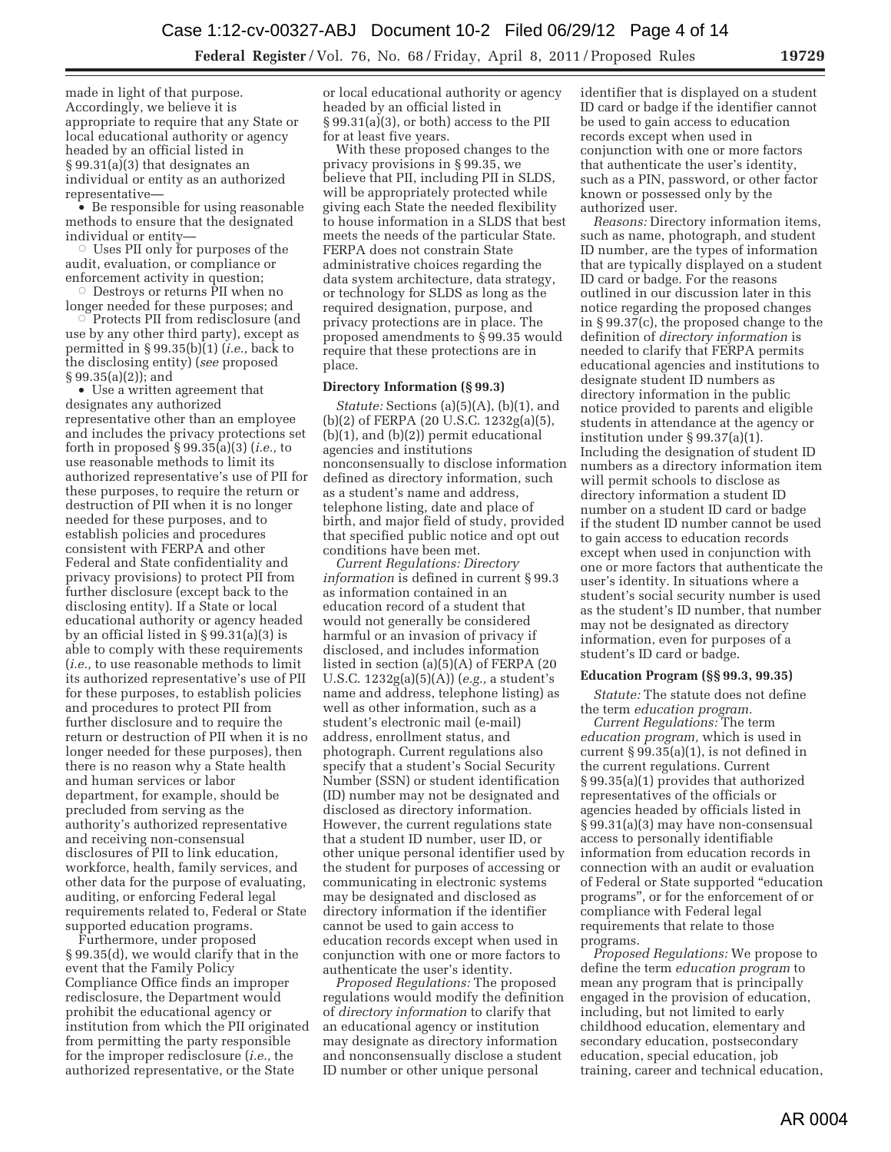made in light of that purpose. Accordingly, we believe it is appropriate to require that any State or local educational authority or agency headed by an official listed in § 99.31(a)(3) that designates an individual or entity as an authorized representative—

• Be responsible for using reasonable methods to ensure that the designated individual or entity—

 $\circ$  Uses PII only for purposes of the audit, evaluation, or compliance or enforcement activity in question;

norcement activity in question,<br>© Destroys or returns PII when no longer needed for these purposes; and<br>  $\odot$  Protocts PII from redisclosure (and

 Protects PII from redisclosure (and use by any other third party), except as permitted in § 99.35(b)(1) (*i.e.,* back to the disclosing entity) (*see* proposed § 99.35(a)(2)); and

• Use a written agreement that designates any authorized representative other than an employee and includes the privacy protections set forth in proposed § 99.35(a)(3) (*i.e.,* to use reasonable methods to limit its authorized representative's use of PII for these purposes, to require the return or destruction of PII when it is no longer needed for these purposes, and to establish policies and procedures consistent with FERPA and other Federal and State confidentiality and privacy provisions) to protect PII from further disclosure (except back to the disclosing entity). If a State or local educational authority or agency headed by an official listed in § 99.31(a)(3) is able to comply with these requirements (*i.e.,* to use reasonable methods to limit its authorized representative's use of PII for these purposes, to establish policies and procedures to protect PII from further disclosure and to require the return or destruction of PII when it is no longer needed for these purposes), then there is no reason why a State health and human services or labor department, for example, should be precluded from serving as the authority's authorized representative and receiving non-consensual disclosures of PII to link education, workforce, health, family services, and other data for the purpose of evaluating, auditing, or enforcing Federal legal requirements related to, Federal or State supported education programs.

Furthermore, under proposed § 99.35(d), we would clarify that in the event that the Family Policy Compliance Office finds an improper redisclosure, the Department would prohibit the educational agency or institution from which the PII originated from permitting the party responsible for the improper redisclosure (*i.e.,* the authorized representative, or the State

or local educational authority or agency headed by an official listed in § 99.31(a)(3), or both) access to the PII for at least five years.

With these proposed changes to the privacy provisions in § 99.35, we believe that PII, including PII in SLDS, will be appropriately protected while giving each State the needed flexibility to house information in a SLDS that best meets the needs of the particular State. FERPA does not constrain State administrative choices regarding the data system architecture, data strategy, or technology for SLDS as long as the required designation, purpose, and privacy protections are in place. The proposed amendments to § 99.35 would require that these protections are in place.

### **Directory Information (§ 99.3)**

*Statute:* Sections (a)(5)(A), (b)(1), and (b)(2) of FERPA (20 U.S.C. 1232g(a)(5), (b)(1), and (b)(2)) permit educational agencies and institutions nonconsensually to disclose information defined as directory information, such as a student's name and address, telephone listing, date and place of birth, and major field of study, provided that specified public notice and opt out conditions have been met.

*Current Regulations: Directory information* is defined in current § 99.3 as information contained in an education record of a student that would not generally be considered harmful or an invasion of privacy if disclosed, and includes information listed in section (a)(5)(A) of FERPA (20 U.S.C. 1232g(a)(5)(A)) (*e.g.,* a student's name and address, telephone listing) as well as other information, such as a student's electronic mail (e-mail) address, enrollment status, and photograph. Current regulations also specify that a student's Social Security Number (SSN) or student identification (ID) number may not be designated and disclosed as directory information. However, the current regulations state that a student ID number, user ID, or other unique personal identifier used by the student for purposes of accessing or communicating in electronic systems may be designated and disclosed as directory information if the identifier cannot be used to gain access to education records except when used in conjunction with one or more factors to authenticate the user's identity.

*Proposed Regulations:* The proposed regulations would modify the definition of *directory information* to clarify that an educational agency or institution may designate as directory information and nonconsensually disclose a student ID number or other unique personal

identifier that is displayed on a student ID card or badge if the identifier cannot be used to gain access to education records except when used in conjunction with one or more factors that authenticate the user's identity, such as a PIN, password, or other factor known or possessed only by the authorized user.

*Reasons:* Directory information items, such as name, photograph, and student ID number, are the types of information that are typically displayed on a student ID card or badge. For the reasons outlined in our discussion later in this notice regarding the proposed changes in § 99.37(c), the proposed change to the definition of *directory information* is needed to clarify that FERPA permits educational agencies and institutions to designate student ID numbers as directory information in the public notice provided to parents and eligible students in attendance at the agency or institution under § 99.37(a)(1). Including the designation of student ID numbers as a directory information item will permit schools to disclose as directory information a student ID number on a student ID card or badge if the student ID number cannot be used to gain access to education records except when used in conjunction with one or more factors that authenticate the user's identity. In situations where a student's social security number is used as the student's ID number, that number may not be designated as directory information, even for purposes of a student's ID card or badge.

#### **Education Program (§§ 99.3, 99.35)**

*Statute:* The statute does not define the term *education program.* 

*Current Regulations:* The term *education program,* which is used in current  $\S 99.35(a)(1)$ , is not defined in the current regulations. Current § 99.35(a)(1) provides that authorized representatives of the officials or agencies headed by officials listed in § 99.31(a)(3) may have non-consensual access to personally identifiable information from education records in connection with an audit or evaluation of Federal or State supported ''education programs'', or for the enforcement of or compliance with Federal legal requirements that relate to those programs.

*Proposed Regulations:* We propose to define the term *education program* to mean any program that is principally engaged in the provision of education, including, but not limited to early childhood education, elementary and secondary education, postsecondary education, special education, job training, career and technical education,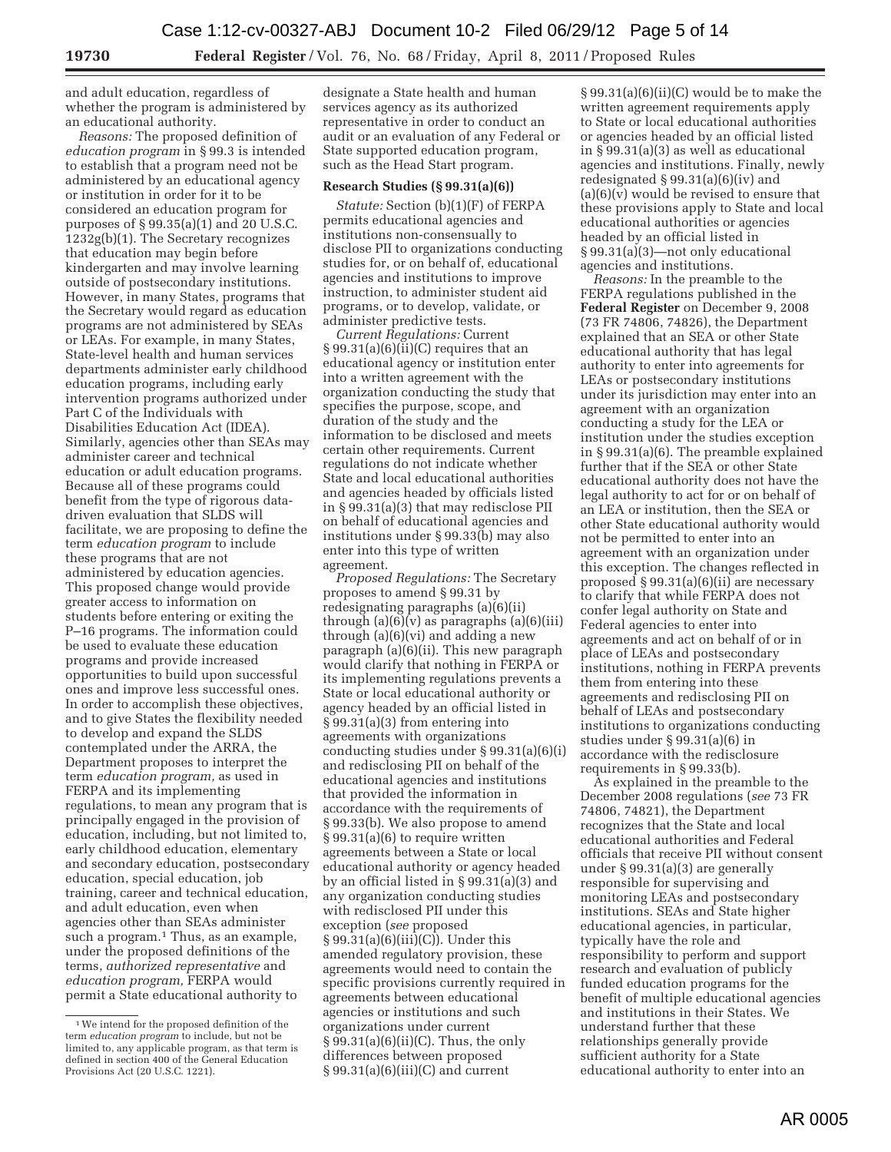and adult education, regardless of whether the program is administered by an educational authority.

*Reasons:* The proposed definition of *education program* in § 99.3 is intended to establish that a program need not be administered by an educational agency or institution in order for it to be considered an education program for purposes of § 99.35(a)(1) and 20 U.S.C. 1232g(b)(1). The Secretary recognizes that education may begin before kindergarten and may involve learning outside of postsecondary institutions. However, in many States, programs that the Secretary would regard as education programs are not administered by SEAs or LEAs. For example, in many States, State-level health and human services departments administer early childhood education programs, including early intervention programs authorized under Part C of the Individuals with Disabilities Education Act (IDEA). Similarly, agencies other than SEAs may administer career and technical education or adult education programs. Because all of these programs could benefit from the type of rigorous datadriven evaluation that SLDS will facilitate, we are proposing to define the term *education program* to include these programs that are not administered by education agencies. This proposed change would provide greater access to information on students before entering or exiting the P–16 programs. The information could be used to evaluate these education programs and provide increased opportunities to build upon successful ones and improve less successful ones. In order to accomplish these objectives, and to give States the flexibility needed to develop and expand the SLDS contemplated under the ARRA, the Department proposes to interpret the term *education program,* as used in FERPA and its implementing regulations, to mean any program that is principally engaged in the provision of education, including, but not limited to, early childhood education, elementary and secondary education, postsecondary education, special education, job training, career and technical education, and adult education, even when agencies other than SEAs administer such a program.<sup>1</sup> Thus, as an example, under the proposed definitions of the terms, *authorized representative* and *education program,* FERPA would permit a State educational authority to

designate a State health and human services agency as its authorized representative in order to conduct an audit or an evaluation of any Federal or State supported education program, such as the Head Start program.

#### **Research Studies (§ 99.31(a)(6))**

*Statute:* Section (b)(1)(F) of FERPA permits educational agencies and institutions non-consensually to disclose PII to organizations conducting studies for, or on behalf of, educational agencies and institutions to improve instruction, to administer student aid programs, or to develop, validate, or administer predictive tests.

*Current Regulations:* Current  $\S 99.31(a)(6)(ii)(C)$  requires that an educational agency or institution enter into a written agreement with the organization conducting the study that specifies the purpose, scope, and duration of the study and the information to be disclosed and meets certain other requirements. Current regulations do not indicate whether State and local educational authorities and agencies headed by officials listed in § 99.31(a)(3) that may redisclose PII on behalf of educational agencies and institutions under § 99.33(b) may also enter into this type of written agreement.

*Proposed Regulations:* The Secretary proposes to amend § 99.31 by redesignating paragraphs (a)(6)(ii) through  $(a)(6)(v)$  as paragraphs  $(a)(6)(iii)$ through (a)(6)(vi) and adding a new paragraph (a)(6)(ii). This new paragraph would clarify that nothing in FERPA or its implementing regulations prevents a State or local educational authority or agency headed by an official listed in § 99.31(a)(3) from entering into agreements with organizations conducting studies under § 99.31(a)(6)(i) and redisclosing PII on behalf of the educational agencies and institutions that provided the information in accordance with the requirements of § 99.33(b). We also propose to amend § 99.31(a)(6) to require written agreements between a State or local educational authority or agency headed by an official listed in § 99.31(a)(3) and any organization conducting studies with redisclosed PII under this exception (*see* proposed § 99.31(a)(6)(iii)(C)). Under this amended regulatory provision, these agreements would need to contain the specific provisions currently required in agreements between educational agencies or institutions and such organizations under current § 99.31(a)(6)(ii)(C). Thus, the only differences between proposed  $§ 99.31(a)(6)(iii)(C)$  and current

§ 99.31(a)(6)(ii)(C) would be to make the written agreement requirements apply to State or local educational authorities or agencies headed by an official listed in § 99.31(a)(3) as well as educational agencies and institutions. Finally, newly redesignated § 99.31(a)(6)(iv) and (a)(6)(v) would be revised to ensure that these provisions apply to State and local educational authorities or agencies headed by an official listed in § 99.31(a)(3)—not only educational agencies and institutions.

*Reasons:* In the preamble to the FERPA regulations published in the **Federal Register** on December 9, 2008 (73 FR 74806, 74826), the Department explained that an SEA or other State educational authority that has legal authority to enter into agreements for LEAs or postsecondary institutions under its jurisdiction may enter into an agreement with an organization conducting a study for the LEA or institution under the studies exception in § 99.31(a)(6). The preamble explained further that if the SEA or other State educational authority does not have the legal authority to act for or on behalf of an LEA or institution, then the SEA or other State educational authority would not be permitted to enter into an agreement with an organization under this exception. The changes reflected in proposed § 99.31(a)(6)(ii) are necessary to clarify that while FERPA does not confer legal authority on State and Federal agencies to enter into agreements and act on behalf of or in place of LEAs and postsecondary institutions, nothing in FERPA prevents them from entering into these agreements and redisclosing PII on behalf of LEAs and postsecondary institutions to organizations conducting studies under § 99.31(a)(6) in accordance with the redisclosure requirements in § 99.33(b).

As explained in the preamble to the December 2008 regulations (*see* 73 FR 74806, 74821), the Department recognizes that the State and local educational authorities and Federal officials that receive PII without consent under § 99.31(a)(3) are generally responsible for supervising and monitoring LEAs and postsecondary institutions. SEAs and State higher educational agencies, in particular, typically have the role and responsibility to perform and support research and evaluation of publicly funded education programs for the benefit of multiple educational agencies and institutions in their States. We understand further that these relationships generally provide sufficient authority for a State educational authority to enter into an

<sup>1</sup>We intend for the proposed definition of the term *education program* to include, but not be limited to, any applicable program, as that term is defined in section 400 of the General Education Provisions Act (20 U.S.C. 1221).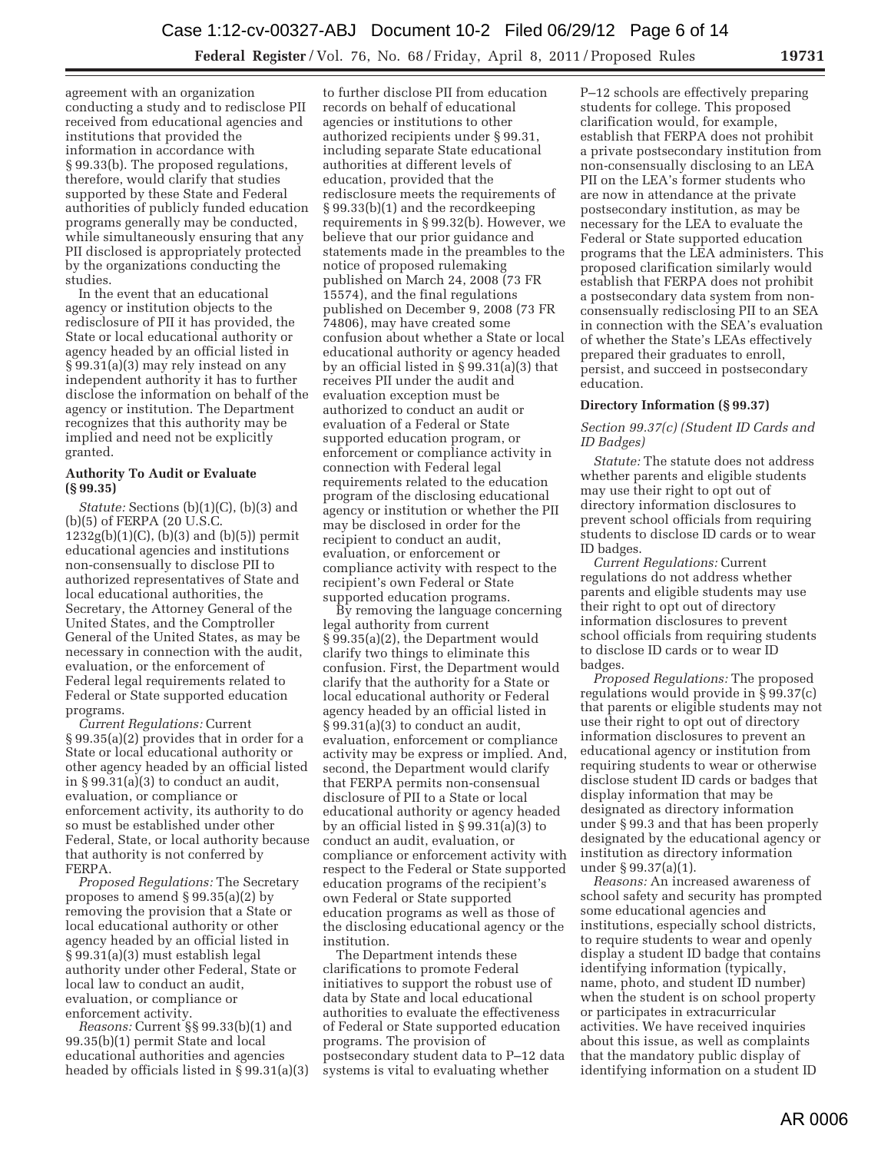agreement with an organization conducting a study and to redisclose PII received from educational agencies and institutions that provided the information in accordance with § 99.33(b). The proposed regulations, therefore, would clarify that studies supported by these State and Federal authorities of publicly funded education programs generally may be conducted, while simultaneously ensuring that any PII disclosed is appropriately protected by the organizations conducting the studies.

In the event that an educational agency or institution objects to the redisclosure of PII it has provided, the State or local educational authority or agency headed by an official listed in § 99.31(a)(3) may rely instead on any independent authority it has to further disclose the information on behalf of the agency or institution. The Department recognizes that this authority may be implied and need not be explicitly granted.

# **Authority To Audit or Evaluate (§ 99.35)**

*Statute:* Sections (b)(1)(C), (b)(3) and (b)(5) of FERPA (20 U.S.C.  $1232g(b)(1)(C)$ ,  $(b)(3)$  and  $(b)(5)$ ) permit educational agencies and institutions non-consensually to disclose PII to authorized representatives of State and local educational authorities, the Secretary, the Attorney General of the United States, and the Comptroller General of the United States, as may be necessary in connection with the audit, evaluation, or the enforcement of Federal legal requirements related to Federal or State supported education programs.

*Current Regulations:* Current § 99.35(a)(2) provides that in order for a State or local educational authority or other agency headed by an official listed in § 99.31(a)(3) to conduct an audit, evaluation, or compliance or enforcement activity, its authority to do so must be established under other Federal, State, or local authority because that authority is not conferred by FERPA.

*Proposed Regulations:* The Secretary proposes to amend § 99.35(a)(2) by removing the provision that a State or local educational authority or other agency headed by an official listed in § 99.31(a)(3) must establish legal authority under other Federal, State or local law to conduct an audit, evaluation, or compliance or enforcement activity.

*Reasons:* Current §§ 99.33(b)(1) and 99.35(b)(1) permit State and local educational authorities and agencies headed by officials listed in § 99.31(a)(3)

to further disclose PII from education records on behalf of educational agencies or institutions to other authorized recipients under § 99.31, including separate State educational authorities at different levels of education, provided that the redisclosure meets the requirements of § 99.33(b)(1) and the recordkeeping requirements in § 99.32(b). However, we believe that our prior guidance and statements made in the preambles to the notice of proposed rulemaking published on March 24, 2008 (73 FR 15574), and the final regulations published on December 9, 2008 (73 FR 74806), may have created some confusion about whether a State or local educational authority or agency headed by an official listed in § 99.31(a)(3) that receives PII under the audit and evaluation exception must be authorized to conduct an audit or evaluation of a Federal or State supported education program, or enforcement or compliance activity in connection with Federal legal requirements related to the education program of the disclosing educational agency or institution or whether the PII may be disclosed in order for the recipient to conduct an audit, evaluation, or enforcement or compliance activity with respect to the recipient's own Federal or State supported education programs.

By removing the language concerning legal authority from current § 99.35(a)(2), the Department would clarify two things to eliminate this confusion. First, the Department would clarify that the authority for a State or local educational authority or Federal agency headed by an official listed in § 99.31(a)(3) to conduct an audit, evaluation, enforcement or compliance activity may be express or implied. And, second, the Department would clarify that FERPA permits non-consensual disclosure of PII to a State or local educational authority or agency headed by an official listed in § 99.31(a)(3) to conduct an audit, evaluation, or compliance or enforcement activity with respect to the Federal or State supported education programs of the recipient's own Federal or State supported education programs as well as those of the disclosing educational agency or the institution.

The Department intends these clarifications to promote Federal initiatives to support the robust use of data by State and local educational authorities to evaluate the effectiveness of Federal or State supported education programs. The provision of postsecondary student data to P–12 data systems is vital to evaluating whether

P–12 schools are effectively preparing students for college. This proposed clarification would, for example, establish that FERPA does not prohibit a private postsecondary institution from non-consensually disclosing to an LEA PII on the LEA's former students who are now in attendance at the private postsecondary institution, as may be necessary for the LEA to evaluate the Federal or State supported education programs that the LEA administers. This proposed clarification similarly would establish that FERPA does not prohibit a postsecondary data system from nonconsensually redisclosing PII to an SEA in connection with the SEA's evaluation of whether the State's LEAs effectively prepared their graduates to enroll, persist, and succeed in postsecondary education.

## **Directory Information (§ 99.37)**

## *Section 99.37(c) (Student ID Cards and ID Badges)*

*Statute:* The statute does not address whether parents and eligible students may use their right to opt out of directory information disclosures to prevent school officials from requiring students to disclose ID cards or to wear ID badges.

*Current Regulations:* Current regulations do not address whether parents and eligible students may use their right to opt out of directory information disclosures to prevent school officials from requiring students to disclose ID cards or to wear ID badges.

*Proposed Regulations:* The proposed regulations would provide in § 99.37(c) that parents or eligible students may not use their right to opt out of directory information disclosures to prevent an educational agency or institution from requiring students to wear or otherwise disclose student ID cards or badges that display information that may be designated as directory information under § 99.3 and that has been properly designated by the educational agency or institution as directory information under § 99.37(a)(1).

*Reasons:* An increased awareness of school safety and security has prompted some educational agencies and institutions, especially school districts, to require students to wear and openly display a student ID badge that contains identifying information (typically, name, photo, and student ID number) when the student is on school property or participates in extracurricular activities. We have received inquiries about this issue, as well as complaints that the mandatory public display of identifying information on a student ID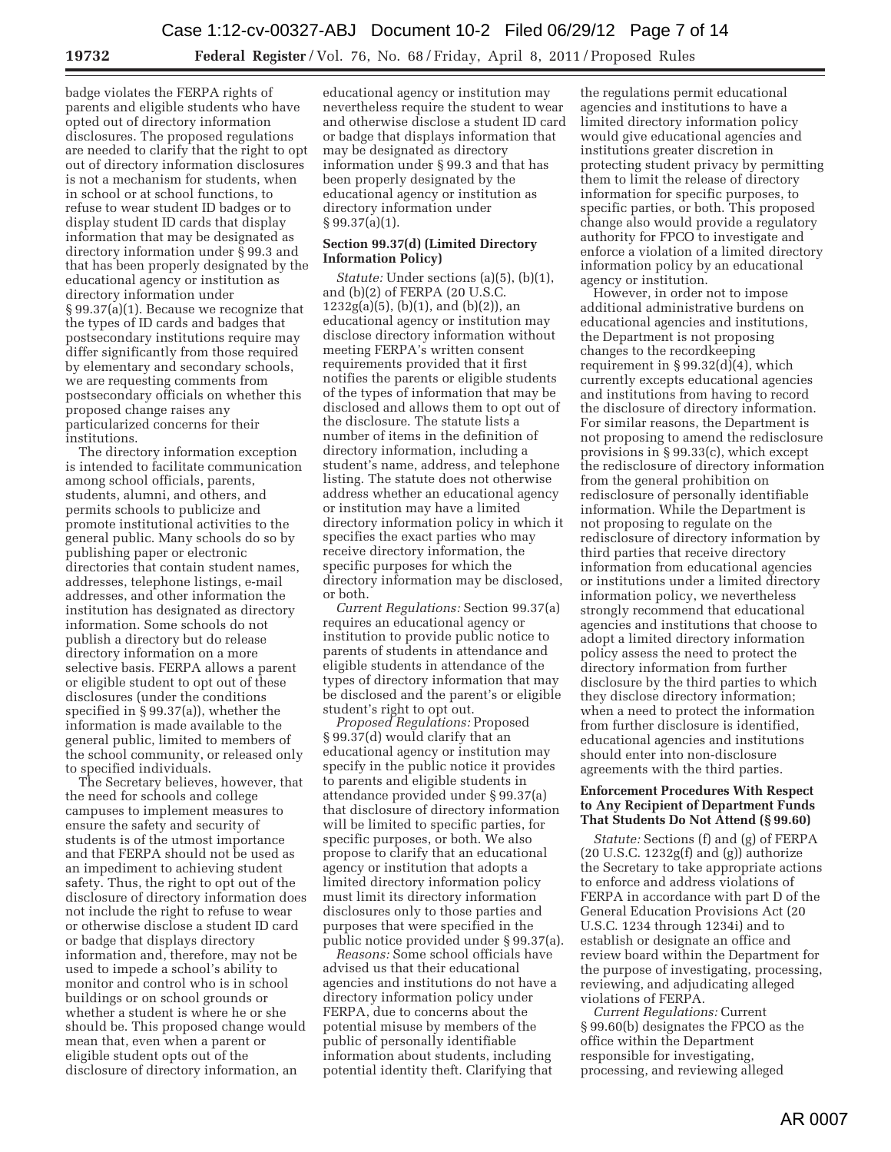badge violates the FERPA rights of parents and eligible students who have opted out of directory information disclosures. The proposed regulations are needed to clarify that the right to opt out of directory information disclosures is not a mechanism for students, when in school or at school functions, to refuse to wear student ID badges or to display student ID cards that display information that may be designated as directory information under § 99.3 and that has been properly designated by the educational agency or institution as directory information under § 99.37(a)(1). Because we recognize that the types of ID cards and badges that postsecondary institutions require may differ significantly from those required by elementary and secondary schools, we are requesting comments from postsecondary officials on whether this proposed change raises any particularized concerns for their institutions.

The directory information exception is intended to facilitate communication among school officials, parents, students, alumni, and others, and permits schools to publicize and promote institutional activities to the general public. Many schools do so by publishing paper or electronic directories that contain student names, addresses, telephone listings, e-mail addresses, and other information the institution has designated as directory information. Some schools do not publish a directory but do release directory information on a more selective basis. FERPA allows a parent or eligible student to opt out of these disclosures (under the conditions specified in § 99.37(a)), whether the information is made available to the general public, limited to members of the school community, or released only to specified individuals.

The Secretary believes, however, that the need for schools and college campuses to implement measures to ensure the safety and security of students is of the utmost importance and that FERPA should not be used as an impediment to achieving student safety. Thus, the right to opt out of the disclosure of directory information does not include the right to refuse to wear or otherwise disclose a student ID card or badge that displays directory information and, therefore, may not be used to impede a school's ability to monitor and control who is in school buildings or on school grounds or whether a student is where he or she should be. This proposed change would mean that, even when a parent or eligible student opts out of the disclosure of directory information, an

educational agency or institution may nevertheless require the student to wear and otherwise disclose a student ID card or badge that displays information that may be designated as directory information under § 99.3 and that has been properly designated by the educational agency or institution as directory information under § 99.37(a)(1).

### **Section 99.37(d) (Limited Directory Information Policy)**

*Statute:* Under sections (a)(5), (b)(1), and (b)(2) of FERPA (20 U.S.C.  $1232g(a)(5)$ , (b)(1), and (b)(2)), an educational agency or institution may disclose directory information without meeting FERPA's written consent requirements provided that it first notifies the parents or eligible students of the types of information that may be disclosed and allows them to opt out of the disclosure. The statute lists a number of items in the definition of directory information, including a student's name, address, and telephone listing. The statute does not otherwise address whether an educational agency or institution may have a limited directory information policy in which it specifies the exact parties who may receive directory information, the specific purposes for which the directory information may be disclosed, or both.

*Current Regulations:* Section 99.37(a) requires an educational agency or institution to provide public notice to parents of students in attendance and eligible students in attendance of the types of directory information that may be disclosed and the parent's or eligible student's right to opt out.

*Proposed Regulations:* Proposed § 99.37(d) would clarify that an educational agency or institution may specify in the public notice it provides to parents and eligible students in attendance provided under § 99.37(a) that disclosure of directory information will be limited to specific parties, for specific purposes, or both. We also propose to clarify that an educational agency or institution that adopts a limited directory information policy must limit its directory information disclosures only to those parties and purposes that were specified in the public notice provided under § 99.37(a).

*Reasons:* Some school officials have advised us that their educational agencies and institutions do not have a directory information policy under FERPA, due to concerns about the potential misuse by members of the public of personally identifiable information about students, including potential identity theft. Clarifying that

the regulations permit educational agencies and institutions to have a limited directory information policy would give educational agencies and institutions greater discretion in protecting student privacy by permitting them to limit the release of directory information for specific purposes, to specific parties, or both. This proposed change also would provide a regulatory authority for FPCO to investigate and enforce a violation of a limited directory information policy by an educational agency or institution.

However, in order not to impose additional administrative burdens on educational agencies and institutions, the Department is not proposing changes to the recordkeeping requirement in  $\S 99.32(d)(4)$ , which currently excepts educational agencies and institutions from having to record the disclosure of directory information. For similar reasons, the Department is not proposing to amend the redisclosure provisions in § 99.33(c), which except the redisclosure of directory information from the general prohibition on redisclosure of personally identifiable information. While the Department is not proposing to regulate on the redisclosure of directory information by third parties that receive directory information from educational agencies or institutions under a limited directory information policy, we nevertheless strongly recommend that educational agencies and institutions that choose to adopt a limited directory information policy assess the need to protect the directory information from further disclosure by the third parties to which they disclose directory information; when a need to protect the information from further disclosure is identified, educational agencies and institutions should enter into non-disclosure agreements with the third parties.

# **Enforcement Procedures With Respect to Any Recipient of Department Funds That Students Do Not Attend (§ 99.60)**

*Statute:* Sections (f) and (g) of FERPA (20 U.S.C. 1232g(f) and (g)) authorize the Secretary to take appropriate actions to enforce and address violations of FERPA in accordance with part D of the General Education Provisions Act (20 U.S.C. 1234 through 1234i) and to establish or designate an office and review board within the Department for the purpose of investigating, processing, reviewing, and adjudicating alleged violations of FERPA.

*Current Regulations:* Current § 99.60(b) designates the FPCO as the office within the Department responsible for investigating, processing, and reviewing alleged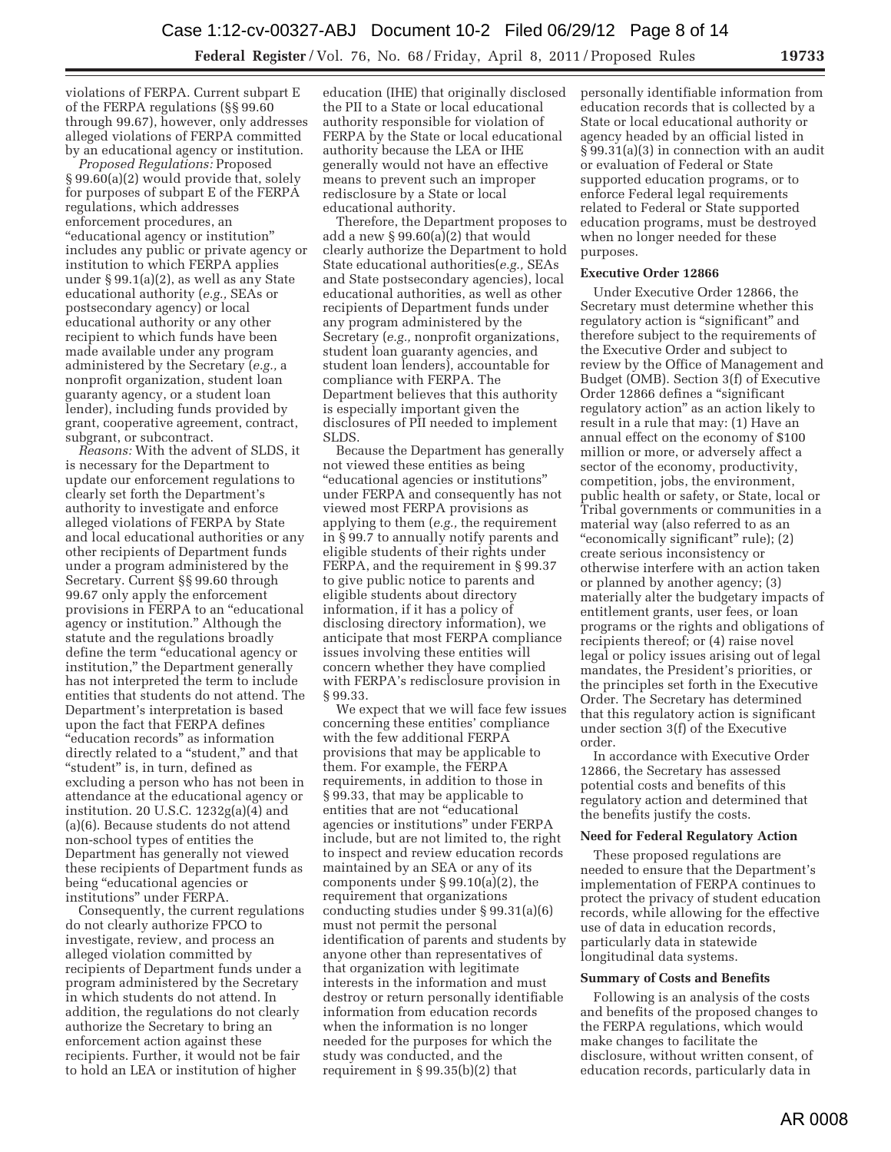violations of FERPA. Current subpart E of the FERPA regulations (§§ 99.60 through 99.67), however, only addresses alleged violations of FERPA committed by an educational agency or institution.

*Proposed Regulations:* Proposed § 99.60(a)(2) would provide that, solely for purposes of subpart E of the FERPA regulations, which addresses enforcement procedures, an ''educational agency or institution'' includes any public or private agency or institution to which FERPA applies under § 99.1(a)(2), as well as any State educational authority (*e.g.,* SEAs or postsecondary agency) or local educational authority or any other recipient to which funds have been made available under any program administered by the Secretary (*e.g.,* a nonprofit organization, student loan guaranty agency, or a student loan lender), including funds provided by grant, cooperative agreement, contract, subgrant, or subcontract.

*Reasons:* With the advent of SLDS, it is necessary for the Department to update our enforcement regulations to clearly set forth the Department's authority to investigate and enforce alleged violations of FERPA by State and local educational authorities or any other recipients of Department funds under a program administered by the Secretary. Current §§ 99.60 through 99.67 only apply the enforcement provisions in FERPA to an ''educational agency or institution.'' Although the statute and the regulations broadly define the term ''educational agency or institution,'' the Department generally has not interpreted the term to include entities that students do not attend. The Department's interpretation is based upon the fact that FERPA defines ''education records'' as information directly related to a "student," and that "student" is, in turn, defined as excluding a person who has not been in attendance at the educational agency or institution. 20 U.S.C. 1232g(a)(4) and (a)(6). Because students do not attend non-school types of entities the Department has generally not viewed these recipients of Department funds as being ''educational agencies or institutions'' under FERPA.

Consequently, the current regulations do not clearly authorize FPCO to investigate, review, and process an alleged violation committed by recipients of Department funds under a program administered by the Secretary in which students do not attend. In addition, the regulations do not clearly authorize the Secretary to bring an enforcement action against these recipients. Further, it would not be fair to hold an LEA or institution of higher

education (IHE) that originally disclosed the PII to a State or local educational authority responsible for violation of FERPA by the State or local educational authority because the LEA or IHE generally would not have an effective means to prevent such an improper redisclosure by a State or local educational authority.

Therefore, the Department proposes to add a new § 99.60(a)(2) that would clearly authorize the Department to hold State educational authorities(*e.g.,* SEAs and State postsecondary agencies), local educational authorities, as well as other recipients of Department funds under any program administered by the Secretary (*e.g.,* nonprofit organizations, student loan guaranty agencies, and student loan lenders), accountable for compliance with FERPA. The Department believes that this authority is especially important given the disclosures of PII needed to implement SLDS.

Because the Department has generally not viewed these entities as being ''educational agencies or institutions'' under FERPA and consequently has not viewed most FERPA provisions as applying to them (*e.g.,* the requirement in § 99.7 to annually notify parents and eligible students of their rights under FERPA, and the requirement in § 99.37 to give public notice to parents and eligible students about directory information, if it has a policy of disclosing directory information), we anticipate that most FERPA compliance issues involving these entities will concern whether they have complied with FERPA's redisclosure provision in § 99.33.

We expect that we will face few issues concerning these entities' compliance with the few additional FERPA provisions that may be applicable to them. For example, the FERPA requirements, in addition to those in § 99.33, that may be applicable to entities that are not ''educational agencies or institutions'' under FERPA include, but are not limited to, the right to inspect and review education records maintained by an SEA or any of its components under § 99.10(a)(2), the requirement that organizations conducting studies under § 99.31(a)(6) must not permit the personal identification of parents and students by anyone other than representatives of that organization with legitimate interests in the information and must destroy or return personally identifiable information from education records when the information is no longer needed for the purposes for which the study was conducted, and the requirement in § 99.35(b)(2) that

personally identifiable information from education records that is collected by a State or local educational authority or agency headed by an official listed in § 99.31(a)(3) in connection with an audit or evaluation of Federal or State supported education programs, or to enforce Federal legal requirements related to Federal or State supported education programs, must be destroyed when no longer needed for these purposes.

## **Executive Order 12866**

Under Executive Order 12866, the Secretary must determine whether this regulatory action is "significant" and therefore subject to the requirements of the Executive Order and subject to review by the Office of Management and Budget (OMB). Section 3(f) of Executive Order 12866 defines a ''significant regulatory action'' as an action likely to result in a rule that may: (1) Have an annual effect on the economy of \$100 million or more, or adversely affect a sector of the economy, productivity, competition, jobs, the environment, public health or safety, or State, local or Tribal governments or communities in a material way (also referred to as an "economically significant" rule); (2) create serious inconsistency or otherwise interfere with an action taken or planned by another agency; (3) materially alter the budgetary impacts of entitlement grants, user fees, or loan programs or the rights and obligations of recipients thereof; or (4) raise novel legal or policy issues arising out of legal mandates, the President's priorities, or the principles set forth in the Executive Order. The Secretary has determined that this regulatory action is significant under section 3(f) of the Executive order.

In accordance with Executive Order 12866, the Secretary has assessed potential costs and benefits of this regulatory action and determined that the benefits justify the costs.

#### **Need for Federal Regulatory Action**

These proposed regulations are needed to ensure that the Department's implementation of FERPA continues to protect the privacy of student education records, while allowing for the effective use of data in education records, particularly data in statewide longitudinal data systems.

## **Summary of Costs and Benefits**

Following is an analysis of the costs and benefits of the proposed changes to the FERPA regulations, which would make changes to facilitate the disclosure, without written consent, of education records, particularly data in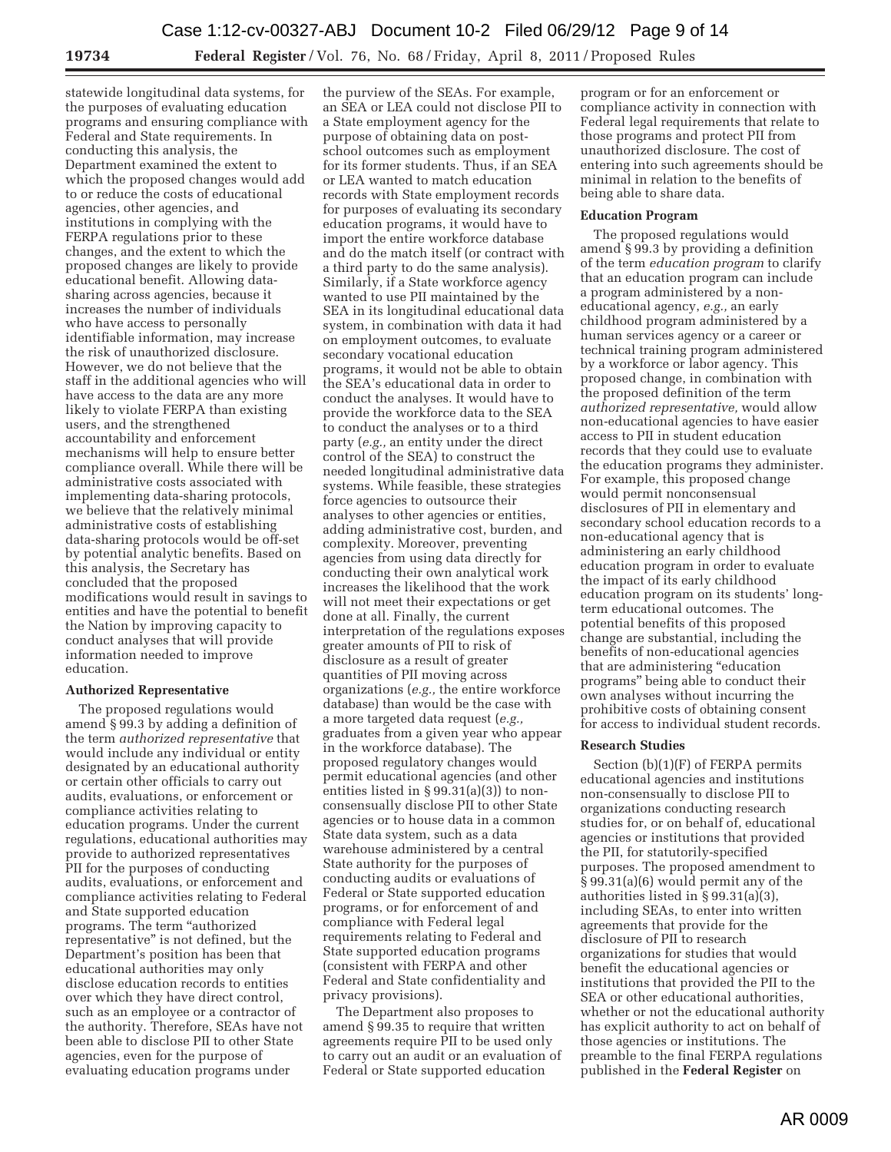statewide longitudinal data systems, for the purposes of evaluating education programs and ensuring compliance with Federal and State requirements. In conducting this analysis, the Department examined the extent to which the proposed changes would add to or reduce the costs of educational agencies, other agencies, and institutions in complying with the FERPA regulations prior to these changes, and the extent to which the proposed changes are likely to provide educational benefit. Allowing datasharing across agencies, because it increases the number of individuals who have access to personally identifiable information, may increase the risk of unauthorized disclosure. However, we do not believe that the staff in the additional agencies who will have access to the data are any more likely to violate FERPA than existing users, and the strengthened accountability and enforcement mechanisms will help to ensure better compliance overall. While there will be administrative costs associated with implementing data-sharing protocols, we believe that the relatively minimal administrative costs of establishing data-sharing protocols would be off-set by potential analytic benefits. Based on this analysis, the Secretary has concluded that the proposed modifications would result in savings to entities and have the potential to benefit the Nation by improving capacity to conduct analyses that will provide information needed to improve education.

# **Authorized Representative**

The proposed regulations would amend § 99.3 by adding a definition of the term *authorized representative* that would include any individual or entity designated by an educational authority or certain other officials to carry out audits, evaluations, or enforcement or compliance activities relating to education programs. Under the current regulations, educational authorities may provide to authorized representatives PII for the purposes of conducting audits, evaluations, or enforcement and compliance activities relating to Federal and State supported education programs. The term ''authorized representative'' is not defined, but the Department's position has been that educational authorities may only disclose education records to entities over which they have direct control, such as an employee or a contractor of the authority. Therefore, SEAs have not been able to disclose PII to other State agencies, even for the purpose of evaluating education programs under

the purview of the SEAs. For example, an SEA or LEA could not disclose PII to a State employment agency for the purpose of obtaining data on postschool outcomes such as employment for its former students. Thus, if an SEA or LEA wanted to match education records with State employment records for purposes of evaluating its secondary education programs, it would have to import the entire workforce database and do the match itself (or contract with a third party to do the same analysis). Similarly, if a State workforce agency wanted to use PII maintained by the SEA in its longitudinal educational data system, in combination with data it had on employment outcomes, to evaluate secondary vocational education programs, it would not be able to obtain the SEA's educational data in order to conduct the analyses. It would have to provide the workforce data to the SEA to conduct the analyses or to a third party (*e.g.,* an entity under the direct control of the SEA) to construct the needed longitudinal administrative data systems. While feasible, these strategies force agencies to outsource their analyses to other agencies or entities, adding administrative cost, burden, and complexity. Moreover, preventing agencies from using data directly for conducting their own analytical work increases the likelihood that the work will not meet their expectations or get done at all. Finally, the current interpretation of the regulations exposes greater amounts of PII to risk of disclosure as a result of greater quantities of PII moving across organizations (*e.g.,* the entire workforce database) than would be the case with a more targeted data request (*e.g.,*  graduates from a given year who appear in the workforce database). The proposed regulatory changes would permit educational agencies (and other entities listed in § 99.31(a)(3)) to nonconsensually disclose PII to other State agencies or to house data in a common State data system, such as a data warehouse administered by a central State authority for the purposes of conducting audits or evaluations of Federal or State supported education programs, or for enforcement of and compliance with Federal legal requirements relating to Federal and State supported education programs (consistent with FERPA and other Federal and State confidentiality and privacy provisions).

The Department also proposes to amend § 99.35 to require that written agreements require PII to be used only to carry out an audit or an evaluation of Federal or State supported education

program or for an enforcement or compliance activity in connection with Federal legal requirements that relate to those programs and protect PII from unauthorized disclosure. The cost of entering into such agreements should be minimal in relation to the benefits of being able to share data.

# **Education Program**

The proposed regulations would amend § 99.3 by providing a definition of the term *education program* to clarify that an education program can include a program administered by a noneducational agency, *e.g.,* an early childhood program administered by a human services agency or a career or technical training program administered by a workforce or labor agency. This proposed change, in combination with the proposed definition of the term *authorized representative,* would allow non-educational agencies to have easier access to PII in student education records that they could use to evaluate the education programs they administer. For example, this proposed change would permit nonconsensual disclosures of PII in elementary and secondary school education records to a non-educational agency that is administering an early childhood education program in order to evaluate the impact of its early childhood education program on its students' longterm educational outcomes. The potential benefits of this proposed change are substantial, including the benefits of non-educational agencies that are administering ''education programs'' being able to conduct their own analyses without incurring the prohibitive costs of obtaining consent for access to individual student records.

# **Research Studies**

Section (b)(1)(F) of FERPA permits educational agencies and institutions non-consensually to disclose PII to organizations conducting research studies for, or on behalf of, educational agencies or institutions that provided the PII, for statutorily-specified purposes. The proposed amendment to § 99.31(a)(6) would permit any of the authorities listed in § 99.31(a)(3), including SEAs, to enter into written agreements that provide for the disclosure of PII to research organizations for studies that would benefit the educational agencies or institutions that provided the PII to the SEA or other educational authorities, whether or not the educational authority has explicit authority to act on behalf of those agencies or institutions. The preamble to the final FERPA regulations published in the **Federal Register** on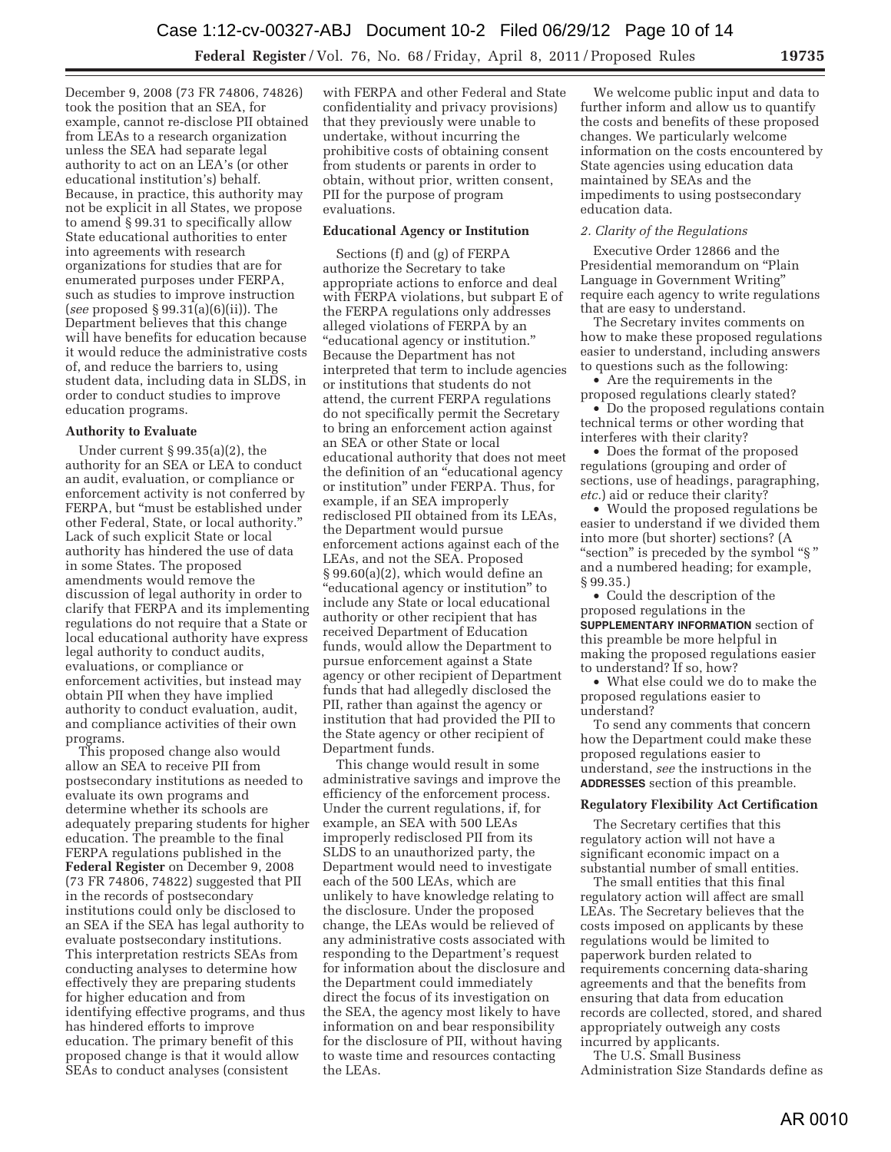December 9, 2008 (73 FR 74806, 74826) took the position that an SEA, for example, cannot re-disclose PII obtained from LEAs to a research organization unless the SEA had separate legal authority to act on an LEA's (or other educational institution's) behalf. Because, in practice, this authority may not be explicit in all States, we propose to amend § 99.31 to specifically allow State educational authorities to enter into agreements with research organizations for studies that are for enumerated purposes under FERPA, such as studies to improve instruction (*see* proposed § 99.31(a)(6)(ii)). The Department believes that this change will have benefits for education because it would reduce the administrative costs of, and reduce the barriers to, using student data, including data in SLDS, in order to conduct studies to improve education programs.

## **Authority to Evaluate**

Under current § 99.35(a)(2), the authority for an SEA or LEA to conduct an audit, evaluation, or compliance or enforcement activity is not conferred by FERPA, but "must be established under other Federal, State, or local authority.'' Lack of such explicit State or local authority has hindered the use of data in some States. The proposed amendments would remove the discussion of legal authority in order to clarify that FERPA and its implementing regulations do not require that a State or local educational authority have express legal authority to conduct audits, evaluations, or compliance or enforcement activities, but instead may obtain PII when they have implied authority to conduct evaluation, audit, and compliance activities of their own programs.

This proposed change also would allow an SEA to receive PII from postsecondary institutions as needed to evaluate its own programs and determine whether its schools are adequately preparing students for higher education. The preamble to the final FERPA regulations published in the **Federal Register** on December 9, 2008 (73 FR 74806, 74822) suggested that PII in the records of postsecondary institutions could only be disclosed to an SEA if the SEA has legal authority to evaluate postsecondary institutions. This interpretation restricts SEAs from conducting analyses to determine how effectively they are preparing students for higher education and from identifying effective programs, and thus has hindered efforts to improve education. The primary benefit of this proposed change is that it would allow SEAs to conduct analyses (consistent

with FERPA and other Federal and State confidentiality and privacy provisions) that they previously were unable to undertake, without incurring the prohibitive costs of obtaining consent from students or parents in order to obtain, without prior, written consent, PII for the purpose of program evaluations.

# **Educational Agency or Institution**

Sections (f) and (g) of FERPA authorize the Secretary to take appropriate actions to enforce and deal with FERPA violations, but subpart E of the FERPA regulations only addresses alleged violations of FERPA by an ''educational agency or institution.'' Because the Department has not interpreted that term to include agencies or institutions that students do not attend, the current FERPA regulations do not specifically permit the Secretary to bring an enforcement action against an SEA or other State or local educational authority that does not meet the definition of an ''educational agency or institution'' under FERPA. Thus, for example, if an SEA improperly redisclosed PII obtained from its LEAs, the Department would pursue enforcement actions against each of the LEAs, and not the SEA. Proposed § 99.60(a)(2), which would define an ''educational agency or institution'' to include any State or local educational authority or other recipient that has received Department of Education funds, would allow the Department to pursue enforcement against a State agency or other recipient of Department funds that had allegedly disclosed the PII, rather than against the agency or institution that had provided the PII to the State agency or other recipient of Department funds.

This change would result in some administrative savings and improve the efficiency of the enforcement process. Under the current regulations, if, for example, an SEA with 500 LEAs improperly redisclosed PII from its SLDS to an unauthorized party, the Department would need to investigate each of the 500 LEAs, which are unlikely to have knowledge relating to the disclosure. Under the proposed change, the LEAs would be relieved of any administrative costs associated with responding to the Department's request for information about the disclosure and the Department could immediately direct the focus of its investigation on the SEA, the agency most likely to have information on and bear responsibility for the disclosure of PII, without having to waste time and resources contacting the LEAs.

We welcome public input and data to further inform and allow us to quantify the costs and benefits of these proposed changes. We particularly welcome information on the costs encountered by State agencies using education data maintained by SEAs and the impediments to using postsecondary education data.

#### *2. Clarity of the Regulations*

Executive Order 12866 and the Presidential memorandum on ''Plain Language in Government Writing'' require each agency to write regulations that are easy to understand.

The Secretary invites comments on how to make these proposed regulations easier to understand, including answers to questions such as the following:

• Are the requirements in the proposed regulations clearly stated?

• Do the proposed regulations contain technical terms or other wording that interferes with their clarity?

• Does the format of the proposed regulations (grouping and order of sections, use of headings, paragraphing, *etc.*) aid or reduce their clarity?

• Would the proposed regulations be easier to understand if we divided them into more (but shorter) sections? (A "section" is preceded by the symbol "§" and a numbered heading; for example, § 99.35.)

• Could the description of the proposed regulations in the **SUPPLEMENTARY INFORMATION** section of this preamble be more helpful in making the proposed regulations easier to understand? If so, how?

• What else could we do to make the proposed regulations easier to understand?

To send any comments that concern how the Department could make these proposed regulations easier to understand, *see* the instructions in the **ADDRESSES** section of this preamble.

#### **Regulatory Flexibility Act Certification**

The Secretary certifies that this regulatory action will not have a significant economic impact on a substantial number of small entities.

The small entities that this final regulatory action will affect are small LEAs. The Secretary believes that the costs imposed on applicants by these regulations would be limited to paperwork burden related to requirements concerning data-sharing agreements and that the benefits from ensuring that data from education records are collected, stored, and shared appropriately outweigh any costs incurred by applicants.

The U.S. Small Business

Administration Size Standards define as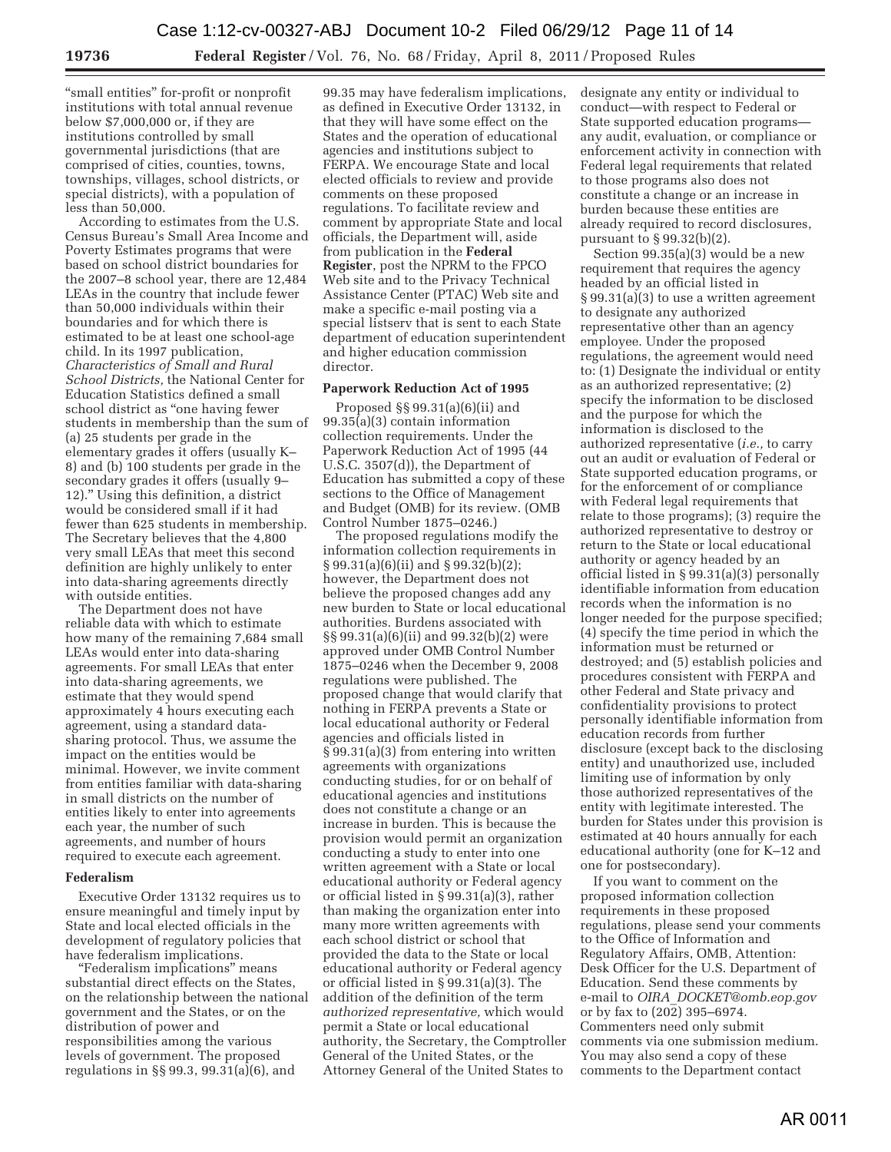''small entities'' for-profit or nonprofit institutions with total annual revenue below \$7,000,000 or, if they are institutions controlled by small governmental jurisdictions (that are comprised of cities, counties, towns, townships, villages, school districts, or special districts), with a population of less than 50,000.

According to estimates from the U.S. Census Bureau's Small Area Income and Poverty Estimates programs that were based on school district boundaries for the 2007–8 school year, there are 12,484 LEAs in the country that include fewer than 50,000 individuals within their boundaries and for which there is estimated to be at least one school-age child. In its 1997 publication, *Characteristics of Small and Rural School Districts,* the National Center for Education Statistics defined a small school district as ''one having fewer students in membership than the sum of (a) 25 students per grade in the elementary grades it offers (usually K– 8) and (b) 100 students per grade in the secondary grades it offers (usually 9– 12).'' Using this definition, a district would be considered small if it had fewer than 625 students in membership. The Secretary believes that the 4,800 very small LEAs that meet this second definition are highly unlikely to enter into data-sharing agreements directly with outside entities.

The Department does not have reliable data with which to estimate how many of the remaining 7,684 small LEAs would enter into data-sharing agreements. For small LEAs that enter into data-sharing agreements, we estimate that they would spend approximately 4 hours executing each agreement, using a standard datasharing protocol. Thus, we assume the impact on the entities would be minimal. However, we invite comment from entities familiar with data-sharing in small districts on the number of entities likely to enter into agreements each year, the number of such agreements, and number of hours required to execute each agreement.

# **Federalism**

Executive Order 13132 requires us to ensure meaningful and timely input by State and local elected officials in the development of regulatory policies that have federalism implications.

''Federalism implications'' means substantial direct effects on the States, on the relationship between the national government and the States, or on the distribution of power and responsibilities among the various levels of government. The proposed regulations in §§ 99.3, 99.31(a)(6), and

99.35 may have federalism implications, as defined in Executive Order 13132, in that they will have some effect on the States and the operation of educational agencies and institutions subject to FERPA. We encourage State and local elected officials to review and provide comments on these proposed regulations. To facilitate review and comment by appropriate State and local officials, the Department will, aside from publication in the **Federal Register**, post the NPRM to the FPCO Web site and to the Privacy Technical Assistance Center (PTAC) Web site and make a specific e-mail posting via a special listserv that is sent to each State department of education superintendent and higher education commission director.

# **Paperwork Reduction Act of 1995**

Proposed §§ 99.31(a)(6)(ii) and 99.35(a)(3) contain information collection requirements. Under the Paperwork Reduction Act of 1995 (44 U.S.C. 3507(d)), the Department of Education has submitted a copy of these sections to the Office of Management and Budget (OMB) for its review. (OMB Control Number 1875–0246.)

The proposed regulations modify the information collection requirements in § 99.31(a)(6)(ii) and § 99.32(b)(2); however, the Department does not believe the proposed changes add any new burden to State or local educational authorities. Burdens associated with §§ 99.31(a)(6)(ii) and 99.32(b)(2) were approved under OMB Control Number 1875–0246 when the December 9, 2008 regulations were published. The proposed change that would clarify that nothing in FERPA prevents a State or local educational authority or Federal agencies and officials listed in § 99.31(a)(3) from entering into written agreements with organizations conducting studies, for or on behalf of educational agencies and institutions does not constitute a change or an increase in burden. This is because the provision would permit an organization conducting a study to enter into one written agreement with a State or local educational authority or Federal agency or official listed in § 99.31(a)(3), rather than making the organization enter into many more written agreements with each school district or school that provided the data to the State or local educational authority or Federal agency or official listed in § 99.31(a)(3). The addition of the definition of the term *authorized representative,* which would permit a State or local educational authority, the Secretary, the Comptroller General of the United States, or the Attorney General of the United States to

designate any entity or individual to conduct—with respect to Federal or State supported education programs any audit, evaluation, or compliance or enforcement activity in connection with Federal legal requirements that related to those programs also does not constitute a change or an increase in burden because these entities are already required to record disclosures, pursuant to § 99.32(b)(2).

Section 99.35(a)(3) would be a new requirement that requires the agency headed by an official listed in § 99.31(a)(3) to use a written agreement to designate any authorized representative other than an agency employee. Under the proposed regulations, the agreement would need to: (1) Designate the individual or entity as an authorized representative; (2) specify the information to be disclosed and the purpose for which the information is disclosed to the authorized representative (*i.e.,* to carry out an audit or evaluation of Federal or State supported education programs, or for the enforcement of or compliance with Federal legal requirements that relate to those programs); (3) require the authorized representative to destroy or return to the State or local educational authority or agency headed by an official listed in § 99.31(a)(3) personally identifiable information from education records when the information is no longer needed for the purpose specified; (4) specify the time period in which the information must be returned or destroyed; and (5) establish policies and procedures consistent with FERPA and other Federal and State privacy and confidentiality provisions to protect personally identifiable information from education records from further disclosure (except back to the disclosing entity) and unauthorized use, included limiting use of information by only those authorized representatives of the entity with legitimate interested. The burden for States under this provision is estimated at 40 hours annually for each educational authority (one for K–12 and one for postsecondary).

If you want to comment on the proposed information collection requirements in these proposed regulations, please send your comments to the Office of Information and Regulatory Affairs, OMB, Attention: Desk Officer for the U.S. Department of Education. Send these comments by e-mail to *OIRA*\_*DOCKET@omb.eop.gov*  or by fax to (202) 395–6974. Commenters need only submit comments via one submission medium. You may also send a copy of these comments to the Department contact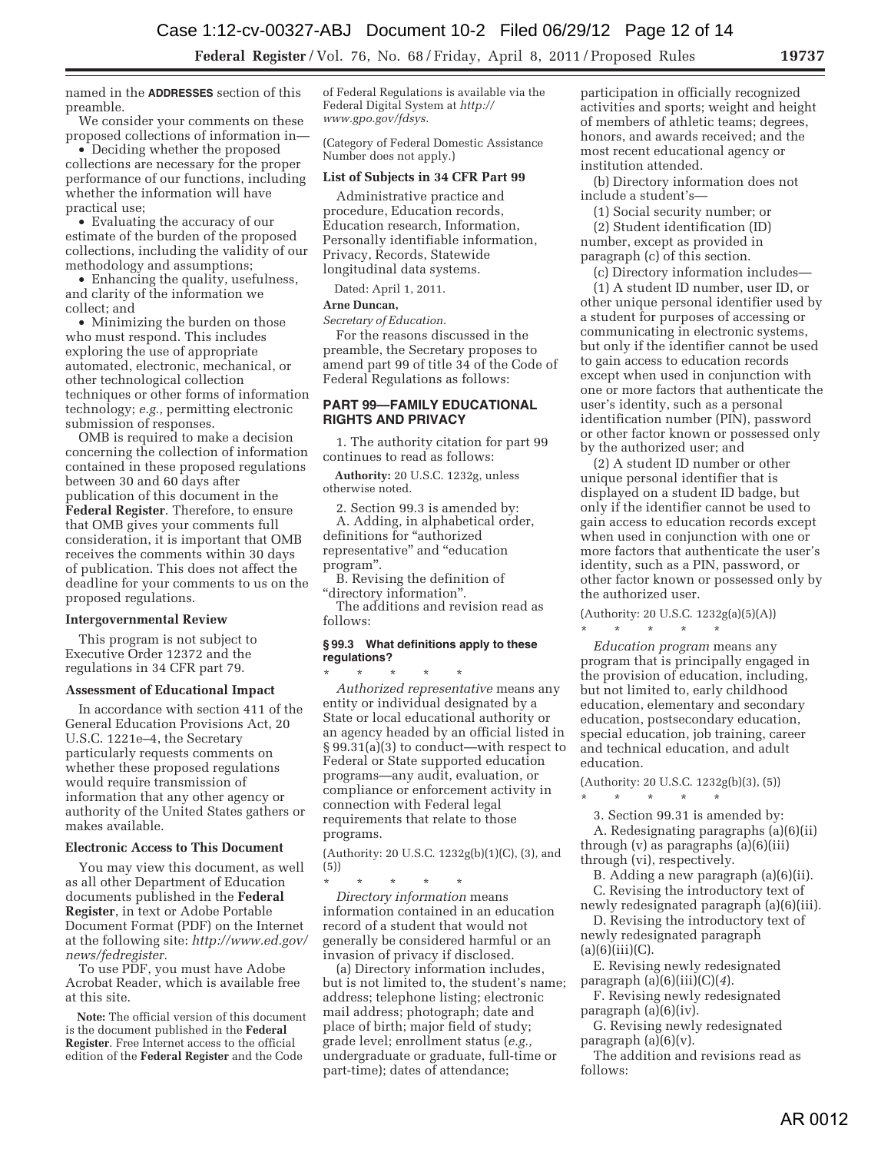named in the **ADDRESSES** section of this preamble.

We consider your comments on these proposed collections of information in—

• Deciding whether the proposed collections are necessary for the proper performance of our functions, including whether the information will have practical use;

• Evaluating the accuracy of our estimate of the burden of the proposed collections, including the validity of our methodology and assumptions;

• Enhancing the quality, usefulness, and clarity of the information we collect; and

• Minimizing the burden on those who must respond. This includes exploring the use of appropriate automated, electronic, mechanical, or other technological collection techniques or other forms of information technology; *e.g.,* permitting electronic submission of responses.

OMB is required to make a decision concerning the collection of information contained in these proposed regulations between 30 and 60 days after publication of this document in the **Federal Register**. Therefore, to ensure that OMB gives your comments full consideration, it is important that OMB receives the comments within 30 days of publication. This does not affect the deadline for your comments to us on the proposed regulations.

#### **Intergovernmental Review**

This program is not subject to Executive Order 12372 and the regulations in 34 CFR part 79.

#### **Assessment of Educational Impact**

In accordance with section 411 of the General Education Provisions Act, 20 U.S.C. 1221e–4, the Secretary particularly requests comments on whether these proposed regulations would require transmission of information that any other agency or authority of the United States gathers or makes available.

#### **Electronic Access to This Document**

You may view this document, as well as all other Department of Education documents published in the **Federal Register**, in text or Adobe Portable Document Format (PDF) on the Internet at the following site: *http://www.ed.gov/ news/fedregister.* 

To use PDF, you must have Adobe Acrobat Reader, which is available free at this site.

**Note:** The official version of this document is the document published in the **Federal Register**. Free Internet access to the official edition of the **Federal Register** and the Code

of Federal Regulations is available via the Federal Digital System at *http:// www.gpo.gov/fdsys.* 

(Category of Federal Domestic Assistance Number does not apply.)

#### **List of Subjects in 34 CFR Part 99**

Administrative practice and procedure, Education records, Education research, Information, Personally identifiable information, Privacy, Records, Statewide longitudinal data systems.

Dated: April 1, 2011.

#### **Arne Duncan,**

*Secretary of Education.* 

For the reasons discussed in the preamble, the Secretary proposes to amend part 99 of title 34 of the Code of Federal Regulations as follows:

# **PART 99—FAMILY EDUCATIONAL RIGHTS AND PRIVACY**

1. The authority citation for part 99 continues to read as follows:

**Authority:** 20 U.S.C. 1232g, unless otherwise noted.

2. Section 99.3 is amended by: A. Adding, in alphabetical order, definitions for "authorized representative'' and ''education program''.

B. Revising the definition of ''directory information''.

The additions and revision read as follows:

## **§ 99.3 What definitions apply to these regulations?**

\* \* \* \* \* *Authorized representative* means any entity or individual designated by a State or local educational authority or an agency headed by an official listed in § 99.31(a)(3) to conduct—with respect to Federal or State supported education programs—any audit, evaluation, or compliance or enforcement activity in connection with Federal legal requirements that relate to those programs.

(Authority: 20 U.S.C. 1232g(b)(1)(C), (3), and (5))

\* \* \* \* \* *Directory information* means information contained in an education record of a student that would not generally be considered harmful or an invasion of privacy if disclosed.

(a) Directory information includes, but is not limited to, the student's name; address; telephone listing; electronic mail address; photograph; date and place of birth; major field of study; grade level; enrollment status (*e.g.,*  undergraduate or graduate, full-time or part-time); dates of attendance;

participation in officially recognized activities and sports; weight and height of members of athletic teams; degrees, honors, and awards received; and the most recent educational agency or institution attended.

(b) Directory information does not include a student's—

(1) Social security number; or

(2) Student identification (ID) number, except as provided in paragraph (c) of this section.

(c) Directory information includes— (1) A student ID number, user ID, or

other unique personal identifier used by a student for purposes of accessing or communicating in electronic systems, but only if the identifier cannot be used to gain access to education records except when used in conjunction with one or more factors that authenticate the user's identity, such as a personal identification number (PIN), password or other factor known or possessed only by the authorized user; and

(2) A student ID number or other unique personal identifier that is displayed on a student ID badge, but only if the identifier cannot be used to gain access to education records except when used in conjunction with one or more factors that authenticate the user's identity, such as a PIN, password, or other factor known or possessed only by the authorized user.

(Authority: 20 U.S.C. 1232g(a)(5)(A)) \* \* \* \* \*

*Education program* means any program that is principally engaged in the provision of education, including, but not limited to, early childhood education, elementary and secondary education, postsecondary education, special education, job training, career and technical education, and adult education.

(Authority: 20 U.S.C. 1232g(b)(3), (5))

 $\star$   $\qquad$   $\star$   $\qquad$   $\star$   $\qquad$   $\star$ 

3. Section 99.31 is amended by: A. Redesignating paragraphs (a)(6)(ii) through  $(v)$  as paragraphs  $(a)(6)(iii)$ 

through (vi), respectively.

B. Adding a new paragraph (a)(6)(ii).

C. Revising the introductory text of newly redesignated paragraph (a)(6)(iii).

D. Revising the introductory text of newly redesignated paragraph  $(a)(6)(iii)(C).$ 

E. Revising newly redesignated paragraph (a)(6)(iii)(C)(*4*).

F. Revising newly redesignated paragraph (a)(6)(iv).

G. Revising newly redesignated paragraph (a)(6)(v).

The addition and revisions read as follows: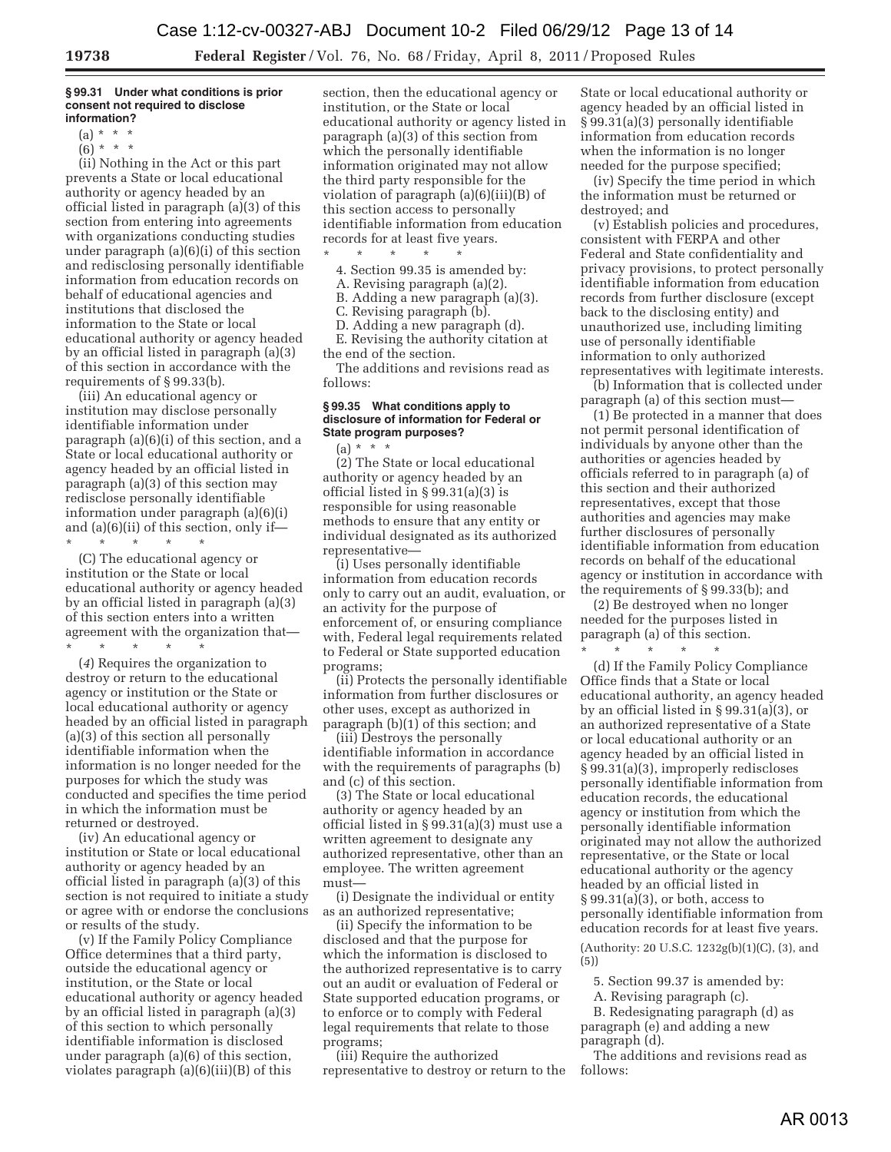#### **§ 99.31 Under what conditions is prior consent not required to disclose information?**

 $(a) * * * *$ 

 $(6) * * * *$ 

(ii) Nothing in the Act or this part prevents a State or local educational authority or agency headed by an official listed in paragraph (a)(3) of this section from entering into agreements with organizations conducting studies under paragraph (a)(6)(i) of this section and redisclosing personally identifiable information from education records on behalf of educational agencies and institutions that disclosed the information to the State or local educational authority or agency headed by an official listed in paragraph (a)(3) of this section in accordance with the requirements of § 99.33(b).

(iii) An educational agency or institution may disclose personally identifiable information under paragraph (a)(6)(i) of this section, and a State or local educational authority or agency headed by an official listed in paragraph (a)(3) of this section may redisclose personally identifiable information under paragraph (a)(6)(i) and (a)(6)(ii) of this section, only if— \* \* \* \* \*

(C) The educational agency or institution or the State or local educational authority or agency headed by an official listed in paragraph (a)(3) of this section enters into a written agreement with the organization that— \* \* \* \* \*

(*4*) Requires the organization to destroy or return to the educational agency or institution or the State or local educational authority or agency headed by an official listed in paragraph (a)(3) of this section all personally identifiable information when the information is no longer needed for the purposes for which the study was conducted and specifies the time period in which the information must be returned or destroyed.

(iv) An educational agency or institution or State or local educational authority or agency headed by an official listed in paragraph (a)(3) of this section is not required to initiate a study or agree with or endorse the conclusions or results of the study.

(v) If the Family Policy Compliance Office determines that a third party, outside the educational agency or institution, or the State or local educational authority or agency headed by an official listed in paragraph (a)(3) of this section to which personally identifiable information is disclosed under paragraph (a)(6) of this section, violates paragraph (a)(6)(iii)(B) of this

section, then the educational agency or institution, or the State or local educational authority or agency listed in paragraph (a)(3) of this section from which the personally identifiable information originated may not allow the third party responsible for the violation of paragraph (a)(6)(iii)(B) of this section access to personally identifiable information from education records for at least five years.

\* \* \* \* \* 4. Section 99.35 is amended by:

- A. Revising paragraph (a)(2).
- B. Adding a new paragraph (a)(3).
- C. Revising paragraph (b).
- D. Adding a new paragraph (d).

E. Revising the authority citation at the end of the section.

The additions and revisions read as follows:

#### **§ 99.35 What conditions apply to disclosure of information for Federal or State program purposes?**

(a) \* \* \* (2) The State or local educational authority or agency headed by an official listed in § 99.31(a)(3) is responsible for using reasonable methods to ensure that any entity or individual designated as its authorized representative—

(i) Uses personally identifiable information from education records only to carry out an audit, evaluation, or an activity for the purpose of enforcement of, or ensuring compliance with, Federal legal requirements related to Federal or State supported education programs;

(ii) Protects the personally identifiable information from further disclosures or other uses, except as authorized in paragraph (b)(1) of this section; and

(iii) Destroys the personally identifiable information in accordance with the requirements of paragraphs (b) and (c) of this section.

(3) The State or local educational authority or agency headed by an official listed in § 99.31(a)(3) must use a written agreement to designate any authorized representative, other than an employee. The written agreement must—

(i) Designate the individual or entity as an authorized representative;

(ii) Specify the information to be disclosed and that the purpose for which the information is disclosed to the authorized representative is to carry out an audit or evaluation of Federal or State supported education programs, or to enforce or to comply with Federal legal requirements that relate to those programs;

(iii) Require the authorized representative to destroy or return to the

State or local educational authority or agency headed by an official listed in § 99.31(a)(3) personally identifiable information from education records when the information is no longer needed for the purpose specified;

(iv) Specify the time period in which the information must be returned or destroyed; and

(v) Establish policies and procedures, consistent with FERPA and other Federal and State confidentiality and privacy provisions, to protect personally identifiable information from education records from further disclosure (except back to the disclosing entity) and unauthorized use, including limiting use of personally identifiable information to only authorized representatives with legitimate interests.

(b) Information that is collected under paragraph (a) of this section must—

(1) Be protected in a manner that does not permit personal identification of individuals by anyone other than the authorities or agencies headed by officials referred to in paragraph (a) of this section and their authorized representatives, except that those authorities and agencies may make further disclosures of personally identifiable information from education records on behalf of the educational agency or institution in accordance with the requirements of § 99.33(b); and

(2) Be destroyed when no longer needed for the purposes listed in paragraph (a) of this section. \* \* \* \* \*

(d) If the Family Policy Compliance Office finds that a State or local educational authority, an agency headed by an official listed in § 99.31(a)(3), or an authorized representative of a State or local educational authority or an agency headed by an official listed in § 99.31(a)(3), improperly rediscloses personally identifiable information from education records, the educational agency or institution from which the personally identifiable information originated may not allow the authorized representative, or the State or local educational authority or the agency headed by an official listed in § 99.31(a)(3), or both, access to personally identifiable information from education records for at least five years.

(Authority: 20 U.S.C. 1232g(b)(1)(C), (3), and (5))

5. Section 99.37 is amended by:

A. Revising paragraph (c).

B. Redesignating paragraph (d) as paragraph (e) and adding a new paragraph (d).

The additions and revisions read as follows: